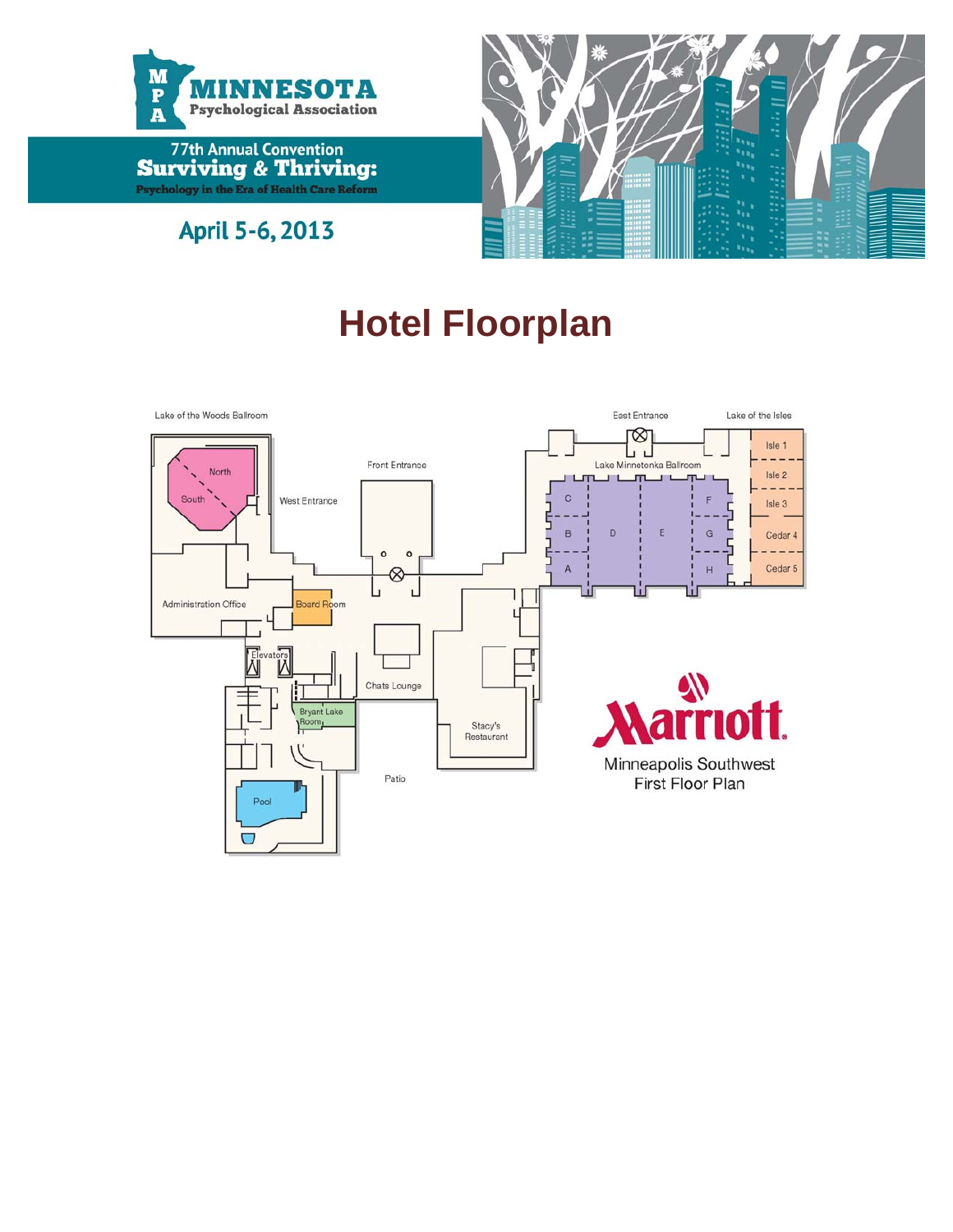



April 5-6, 2013

# **Hotel Floorplan**

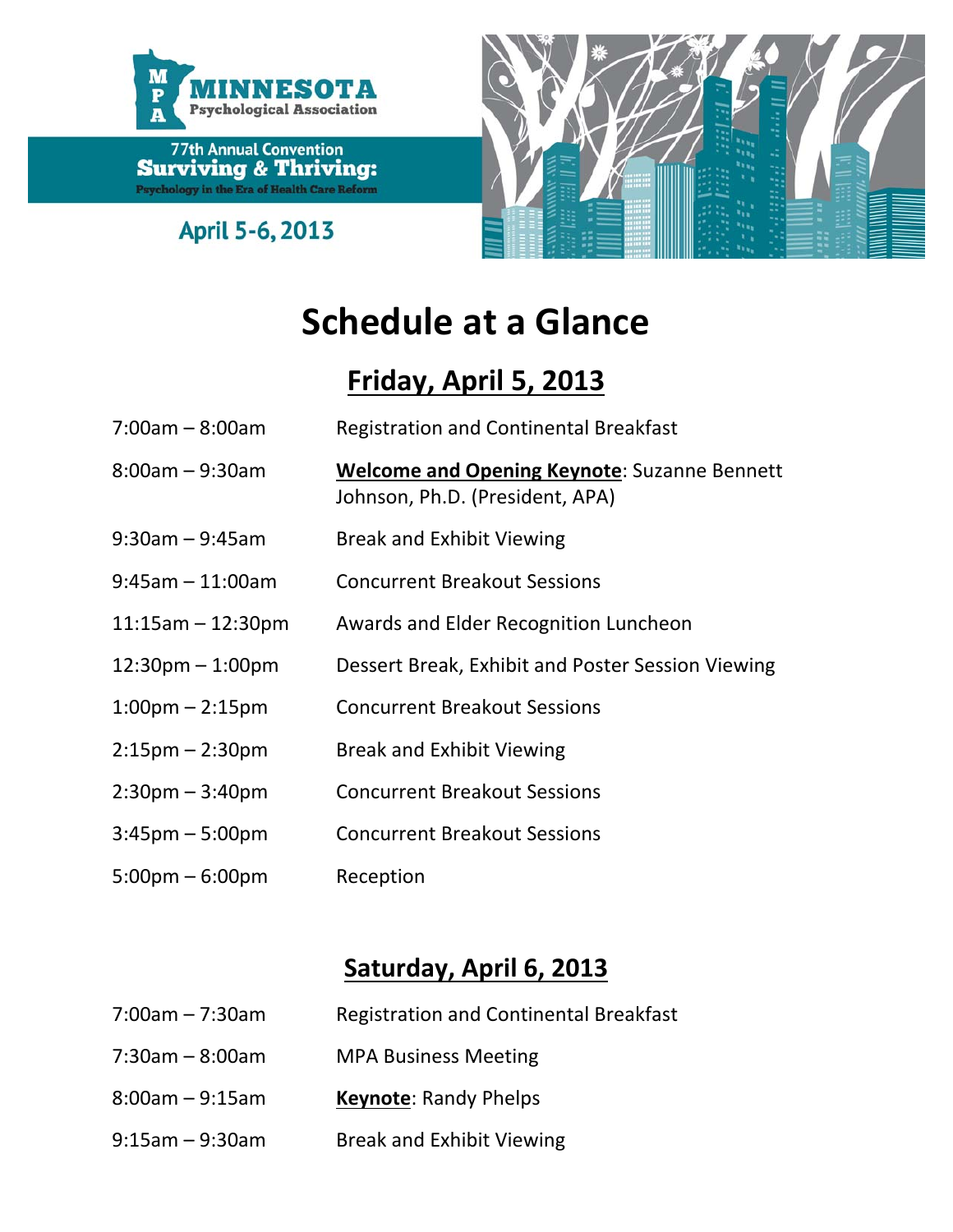

April 5-6, 2013



# **Schedule at a Glance**

## **Friday, April 5, 2013**

| $7:00am - 8:00am$                  | <b>Registration and Continental Breakfast</b>                                          |
|------------------------------------|----------------------------------------------------------------------------------------|
| $8:00$ am – 9:30am                 | <b>Welcome and Opening Keynote: Suzanne Bennett</b><br>Johnson, Ph.D. (President, APA) |
| $9:30$ am – $9:45$ am              | <b>Break and Exhibit Viewing</b>                                                       |
| $9:45$ am $-11:00$ am              | <b>Concurrent Breakout Sessions</b>                                                    |
| $11:15am - 12:30pm$                | Awards and Elder Recognition Luncheon                                                  |
| $12:30 \text{pm} - 1:00 \text{pm}$ | Dessert Break, Exhibit and Poster Session Viewing                                      |
| $1:00 \text{pm} - 2:15 \text{pm}$  | <b>Concurrent Breakout Sessions</b>                                                    |
| $2:15 \text{pm} - 2:30 \text{pm}$  | <b>Break and Exhibit Viewing</b>                                                       |
| $2:30$ pm – 3:40pm                 | <b>Concurrent Breakout Sessions</b>                                                    |
| $3:45$ pm – 5:00pm                 | <b>Concurrent Breakout Sessions</b>                                                    |
| $5:00 \text{pm} - 6:00 \text{pm}$  | Reception                                                                              |

## **Saturday, April 6, 2013**

| $7:00$ am – 7:30am    | <b>Registration and Continental Breakfast</b> |
|-----------------------|-----------------------------------------------|
| $7:30$ am – 8:00am    | <b>MPA Business Meeting</b>                   |
| $8:00$ am – 9:15am    | <b>Keynote: Randy Phelps</b>                  |
| $9:15$ am – $9:30$ am | <b>Break and Exhibit Viewing</b>              |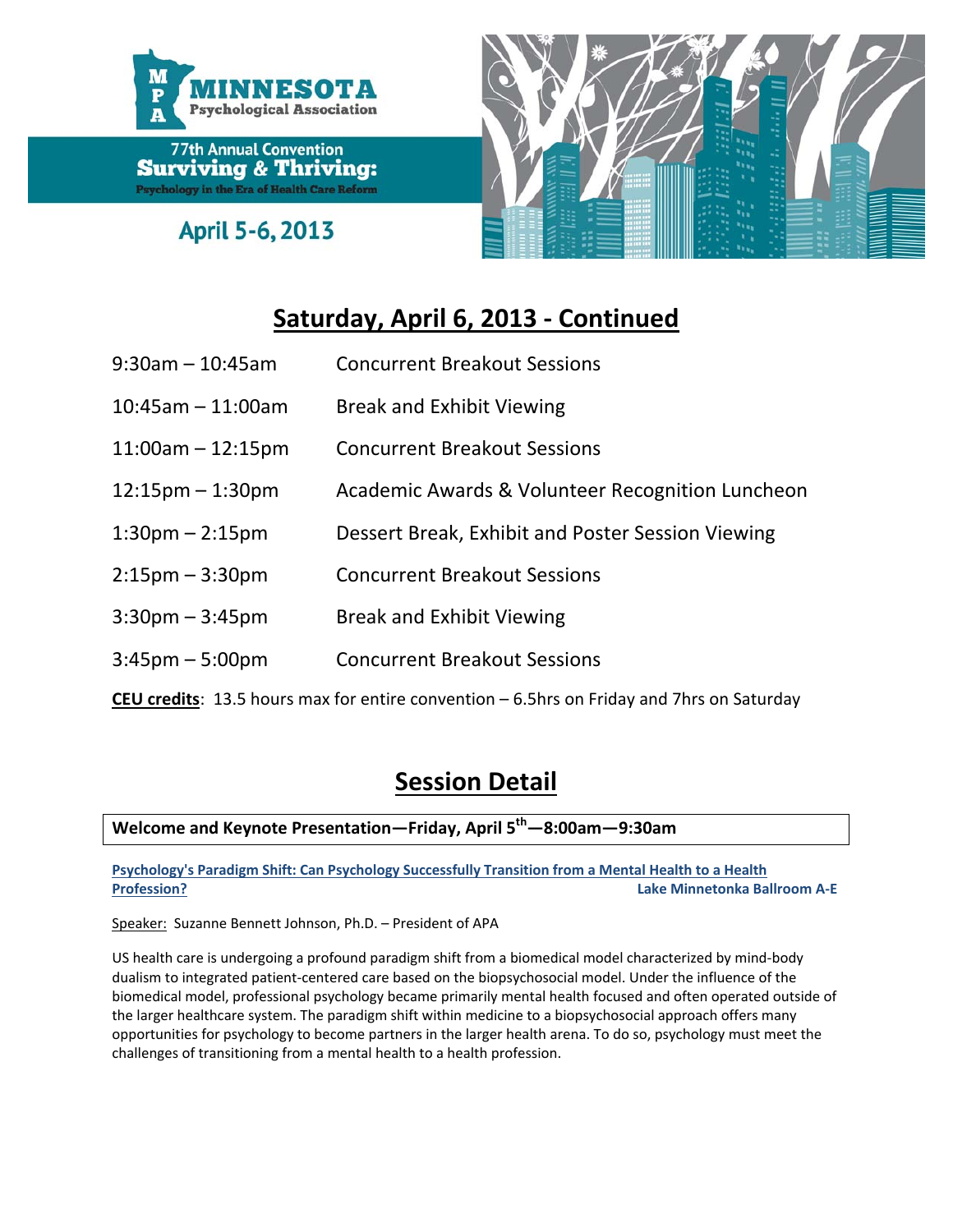

April 5-6, 2013



## **Saturday, April 6, 2013 ‐ Continued**

- 9:30am 10:45am Concurrent Breakout Sessions
- 10:45am 11:00am Break and Exhibit Viewing
- 11:00am 12:15pm Concurrent Breakout Sessions
- 12:15pm 1:30pm Academic Awards & Volunteer Recognition Luncheon
- 1:30pm 2:15pm Dessert Break, Exhibit and Poster Session Viewing
- 2:15pm 3:30pm Concurrent Breakout Sessions
- 3:30pm 3:45pm Break and Exhibit Viewing
- 3:45pm 5:00pm Concurrent Breakout Sessions

**CEU credits**: 13.5 hours max for entire convention – 6.5hrs on Friday and 7hrs on Saturday

## **Session Detail**

### **Welcome and Keynote Presentation—Friday, April 5th—8:00am—9:30am**

**Psychology's Paradigm Shift: Can Psychology Successfully Transition from a Mental Health to a Health Profession? Lake Minnetonka Ballroom A‐E**

Speaker: Suzanne Bennett Johnson, Ph.D. – President of APA

US health care is undergoing a profound paradigm shift from a biomedical model characterized by mind‐body dualism to integrated patient‐centered care based on the biopsychosocial model. Under the influence of the biomedical model, professional psychology became primarily mental health focused and often operated outside of the larger healthcare system. The paradigm shift within medicine to a biopsychosocial approach offers many opportunities for psychology to become partners in the larger health arena. To do so, psychology must meet the challenges of transitioning from a mental health to a health profession.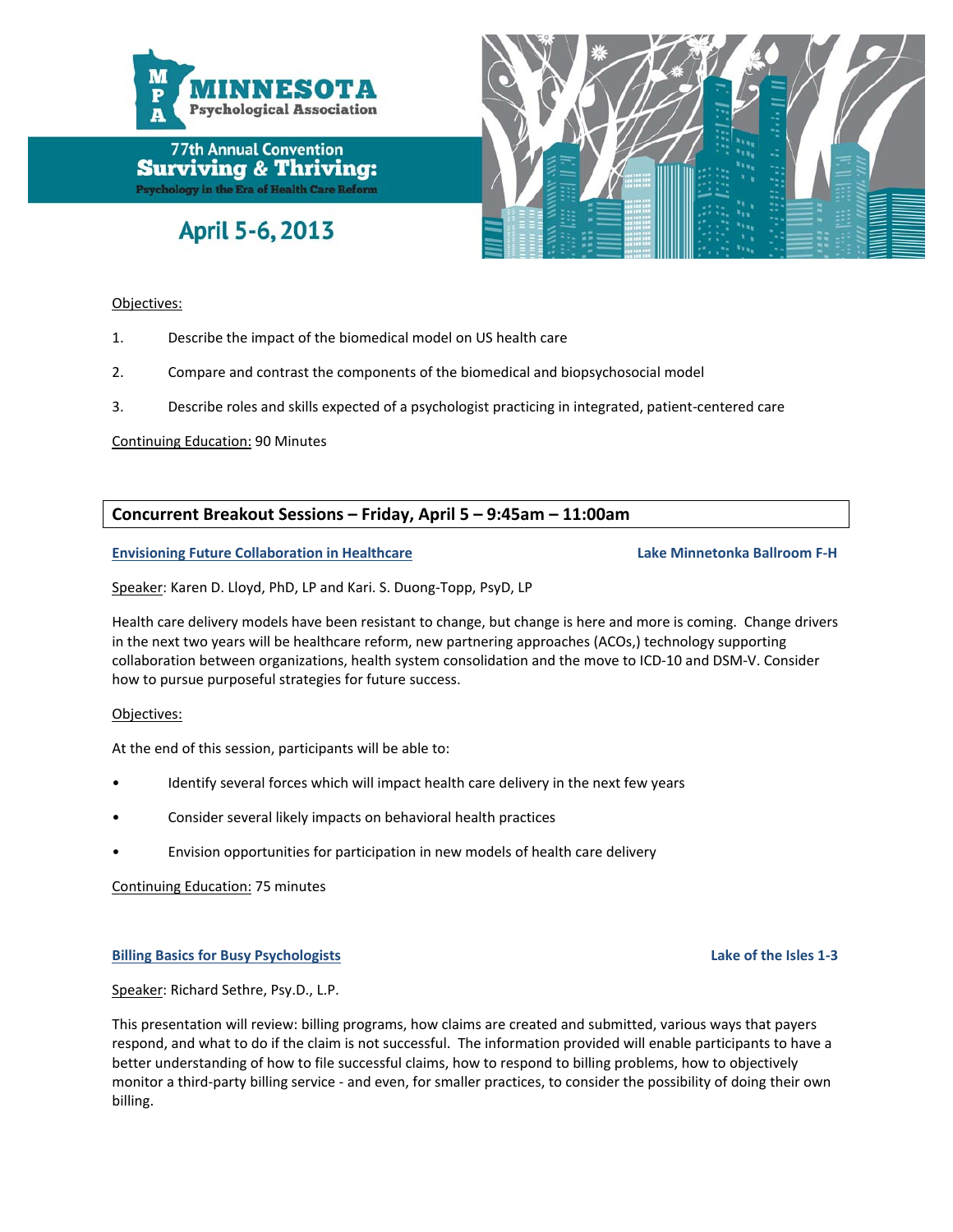

## April 5-6, 2013

#### Objectives:

- 1. Describe the impact of the biomedical model on US health care
- 2. Compare and contrast the components of the biomedical and biopsychosocial model
- 3. Describe roles and skills expected of a psychologist practicing in integrated, patient‐centered care

Continuing Education: 90 Minutes

#### **Concurrent Breakout Sessions – Friday, April 5 – 9:45am – 11:00am**

**Envisioning Future Collaboration in Healthcare Lake Minnetonka Ballroom F‐H**

Speaker: Karen D. Lloyd, PhD, LP and Kari. S. Duong‐Topp, PsyD, LP

Health care delivery models have been resistant to change, but change is here and more is coming. Change drivers in the next two years will be healthcare reform, new partnering approaches (ACOs,) technology supporting collaboration between organizations, health system consolidation and the move to ICD‐10 and DSM‐V. Consider how to pursue purposeful strategies for future success.

#### Objectives:

At the end of this session, participants will be able to:

- Identify several forces which will impact health care delivery in the next few years
- Consider several likely impacts on behavioral health practices
- Envision opportunities for participation in new models of health care delivery

Continuing Education: 75 minutes

#### **Billing Basics for Busy Psychologists Lake of the Isles 1‐3**

Speaker: Richard Sethre, Psy.D., L.P.

This presentation will review: billing programs, how claims are created and submitted, various ways that payers respond, and what to do if the claim is not successful. The information provided will enable participants to have a better understanding of how to file successful claims, how to respond to billing problems, how to objectively monitor a third-party billing service - and even, for smaller practices, to consider the possibility of doing their own billing.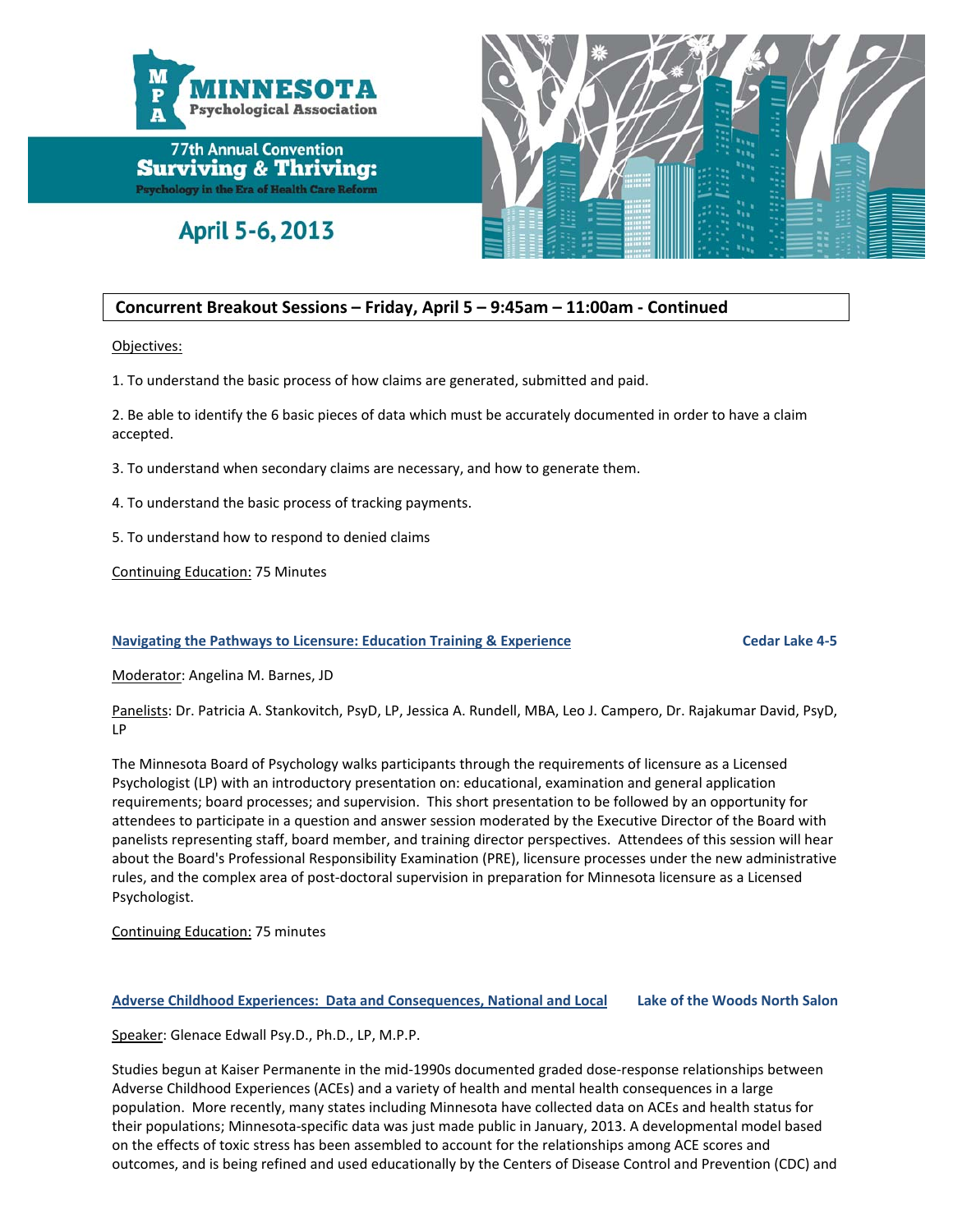

April 5-6, 2013



#### **Concurrent Breakout Sessions – Friday, April 5 – 9:45am – 11:00am ‐ Continued**

Objectives:

1. To understand the basic process of how claims are generated, submitted and paid.

2. Be able to identify the 6 basic pieces of data which must be accurately documented in order to have a claim accepted.

3. To understand when secondary claims are necessary, and how to generate them.

4. To understand the basic process of tracking payments.

5. To understand how to respond to denied claims

Continuing Education: 75 Minutes

#### **Navigating the Pathways to Licensure: Education Training & Experience Cedar Lake 4‐5**

Moderator: Angelina M. Barnes, JD

Panelists: Dr. Patricia A. Stankovitch, PsyD, LP, Jessica A. Rundell, MBA, Leo J. Campero, Dr. Rajakumar David, PsyD, LP

The Minnesota Board of Psychology walks participants through the requirements of licensure as a Licensed Psychologist (LP) with an introductory presentation on: educational, examination and general application requirements; board processes; and supervision. This short presentation to be followed by an opportunity for attendees to participate in a question and answer session moderated by the Executive Director of the Board with panelists representing staff, board member, and training director perspectives. Attendees of this session will hear about the Board's Professional Responsibility Examination (PRE), licensure processes under the new administrative rules, and the complex area of post-doctoral supervision in preparation for Minnesota licensure as a Licensed Psychologist.

#### Continuing Education: 75 minutes

#### Adverse Childhood Experiences: Data and Consequences, National and Local Lake of the Woods North Salon

Speaker: Glenace Edwall Psy.D., Ph.D., LP, M.P.P.

Studies begun at Kaiser Permanente in the mid‐1990s documented graded dose‐response relationships between Adverse Childhood Experiences (ACEs) and a variety of health and mental health consequences in a large population. More recently, many states including Minnesota have collected data on ACEs and health status for their populations; Minnesota‐specific data was just made public in January, 2013. A developmental model based on the effects of toxic stress has been assembled to account for the relationships among ACE scores and outcomes, and is being refined and used educationally by the Centers of Disease Control and Prevention (CDC) and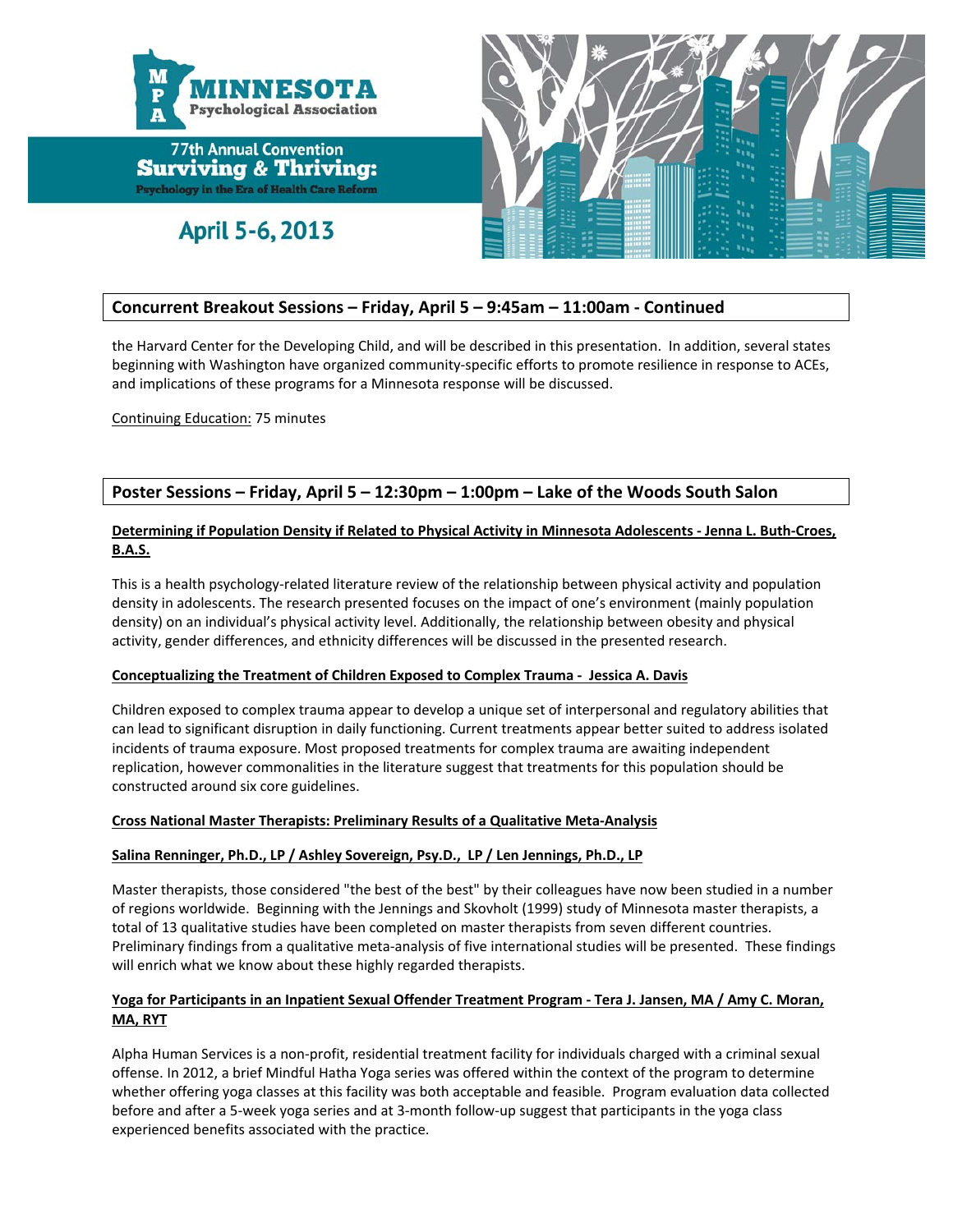

April 5-6, 2013



#### **Concurrent Breakout Sessions – Friday, April 5 – 9:45am – 11:00am ‐ Continued**

the Harvard Center for the Developing Child, and will be described in this presentation. In addition, several states beginning with Washington have organized community‐specific efforts to promote resilience in response to ACEs, and implications of these programs for a Minnesota response will be discussed.

Continuing Education: 75 minutes

#### **Poster Sessions – Friday, April 5 – 12:30pm – 1:00pm – Lake of the Woods South Salon**

#### Determining if Population Density if Related to Physical Activity in Minnesota Adolescents - Jenna L. Buth-Croes, **B.A.S.**

This is a health psychology‐related literature review of the relationship between physical activity and population density in adolescents. The research presented focuses on the impact of one's environment (mainly population density) on an individual's physical activity level. Additionally, the relationship between obesity and physical activity, gender differences, and ethnicity differences will be discussed in the presented research.

#### **Conceptualizing the Treatment of Children Exposed to Complex Trauma ‐ Jessica A. Davis**

Children exposed to complex trauma appear to develop a unique set of interpersonal and regulatory abilities that can lead to significant disruption in daily functioning. Current treatments appear better suited to address isolated incidents of trauma exposure. Most proposed treatments for complex trauma are awaiting independent replication, however commonalities in the literature suggest that treatments for this population should be constructed around six core guidelines.

#### **Cross National Master Therapists: Preliminary Results of a Qualitative Meta‐Analysis**

#### **Salina Renninger, Ph.D., LP / Ashley Sovereign, Psy.D., LP / Len Jennings, Ph.D., LP**

Master therapists, those considered "the best of the best" by their colleagues have now been studied in a number of regions worldwide. Beginning with the Jennings and Skovholt (1999) study of Minnesota master therapists, a total of 13 qualitative studies have been completed on master therapists from seven different countries. Preliminary findings from a qualitative meta-analysis of five international studies will be presented. These findings will enrich what we know about these highly regarded therapists.

#### Yoga for Participants in an Inpatient Sexual Offender Treatment Program - Tera J. Jansen, MA / Amy C. Moran, **MA, RYT**

Alpha Human Services is a non‐profit, residential treatment facility for individuals charged with a criminal sexual offense. In 2012, a brief Mindful Hatha Yoga series was offered within the context of the program to determine whether offering yoga classes at this facility was both acceptable and feasible. Program evaluation data collected before and after a 5-week yoga series and at 3-month follow-up suggest that participants in the yoga class experienced benefits associated with the practice.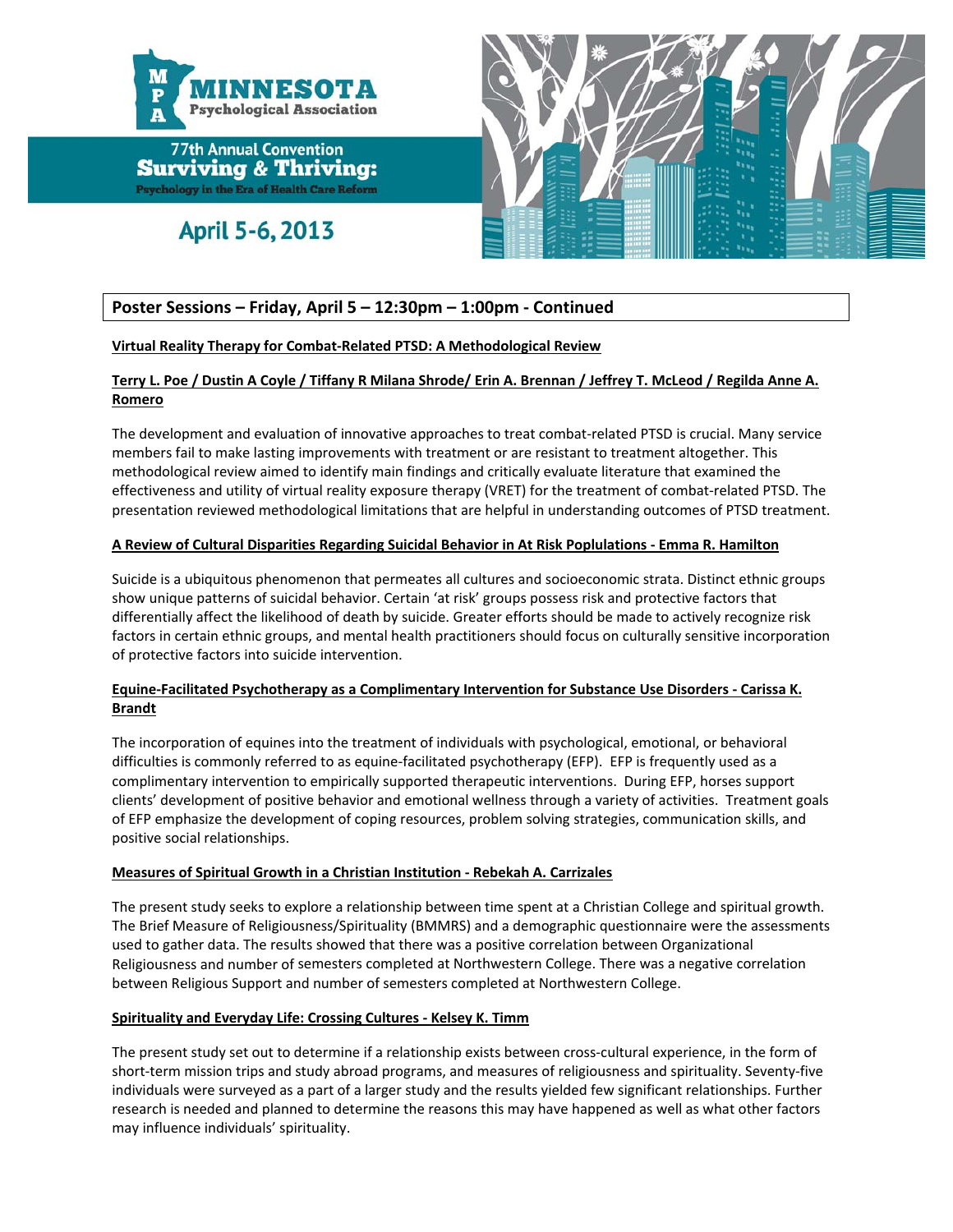

April 5-6, 2013



#### **Poster Sessions – Friday, April 5 – 12:30pm – 1:00pm ‐ Continued**

#### **Virtual Reality Therapy for Combat‐Related PTSD: A Methodological Review**

#### Terry L. Poe / Dustin A Coyle / Tiffany R Milana Shrode/ Erin A. Brennan / Jeffrey T. McLeod / Regilda Anne A. **Romero**

The development and evaluation of innovative approaches to treat combat-related PTSD is crucial. Many service members fail to make lasting improvements with treatment or are resistant to treatment altogether. This methodological review aimed to identify main findings and critically evaluate literature that examined the effectiveness and utility of virtual reality exposure therapy (VRET) for the treatment of combat‐related PTSD. The presentation reviewed methodological limitations that are helpful in understanding outcomes of PTSD treatment.

#### **A Review of Cultural Disparities Regarding Suicidal Behavior in At Risk Poplulations ‐ Emma R. Hamilton**

Suicide is a ubiquitous phenomenon that permeates all cultures and socioeconomic strata. Distinct ethnic groups show unique patterns of suicidal behavior. Certain 'at risk' groups possess risk and protective factors that differentially affect the likelihood of death by suicide. Greater efforts should be made to actively recognize risk factors in certain ethnic groups, and mental health practitioners should focus on culturally sensitive incorporation of protective factors into suicide intervention.

#### **Equine‐Facilitated Psychotherapy as a Complimentary Intervention for Substance Use Disorders ‐ Carissa K. Brandt**

The incorporation of equines into the treatment of individuals with psychological, emotional, or behavioral difficulties is commonly referred to as equine‐facilitated psychotherapy (EFP). EFP is frequently used as a complimentary intervention to empirically supported therapeutic interventions. During EFP, horses support clients' development of positive behavior and emotional wellness through a variety of activities. Treatment goals of EFP emphasize the development of coping resources, problem solving strategies, communication skills, and positive social relationships.

#### **Measures of Spiritual Growth in a Christian Institution ‐ Rebekah A. Carrizales**

The present study seeks to explore a relationship between time spent at a Christian College and spiritual growth. The Brief Measure of Religiousness/Spirituality (BMMRS) and a demographic questionnaire were the assessments used to gather data. The results showed that there was a positive correlation between Organizational Religiousness and number of semesters completed at Northwestern College. There was a negative correlation between Religious Support and number of semesters completed at Northwestern College.

#### **Spirituality and Everyday Life: Crossing Cultures ‐ Kelsey K. Timm**

The present study set out to determine if a relationship exists between cross-cultural experience, in the form of short-term mission trips and study abroad programs, and measures of religiousness and spirituality. Seventy-five individuals were surveyed as a part of a larger study and the results yielded few significant relationships. Further research is needed and planned to determine the reasons this may have happened as well as what other factors may influence individuals' spirituality.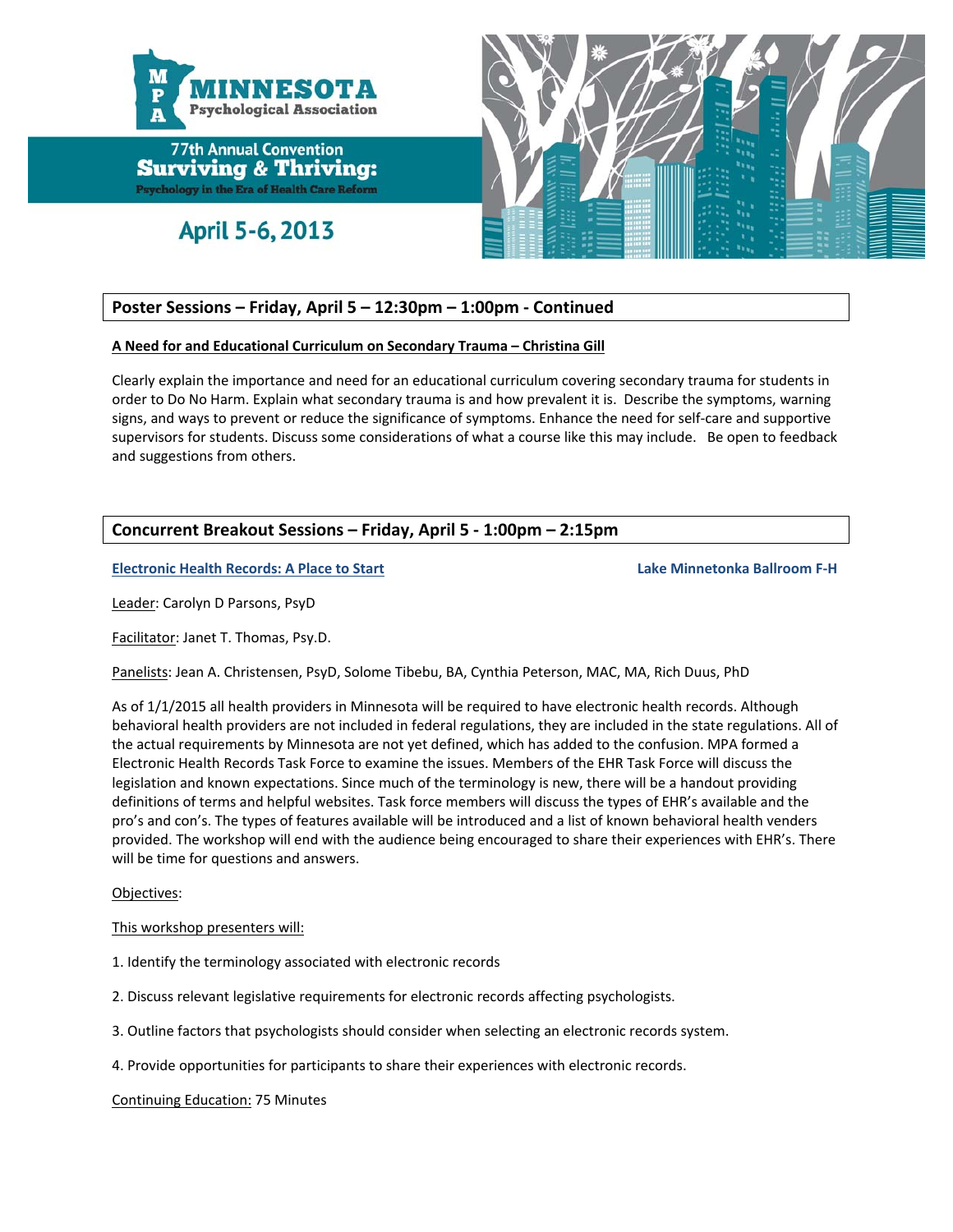

April 5-6, 2013



#### **Poster Sessions – Friday, April 5 – 12:30pm – 1:00pm ‐ Continued**

#### **A Need for and Educational Curriculum on Secondary Trauma – Christina Gill**

Clearly explain the importance and need for an educational curriculum covering secondary trauma for students in order to Do No Harm. Explain what secondary trauma is and how prevalent it is. Describe the symptoms, warning signs, and ways to prevent or reduce the significance of symptoms. Enhance the need for self‐care and supportive supervisors for students. Discuss some considerations of what a course like this may include. Be open to feedback and suggestions from others.

#### **Concurrent Breakout Sessions – Friday, April 5 ‐ 1:00pm – 2:15pm**

**Electronic Health Records: A Place to Start Lake Minnetonka Ballroom F‐H** 

Leader: Carolyn D Parsons, PsyD

Facilitator: Janet T. Thomas, Psy.D.

Panelists: Jean A. Christensen, PsyD, Solome Tibebu, BA, Cynthia Peterson, MAC, MA, Rich Duus, PhD

As of 1/1/2015 all health providers in Minnesota will be required to have electronic health records. Although behavioral health providers are not included in federal regulations, they are included in the state regulations. All of the actual requirements by Minnesota are not yet defined, which has added to the confusion. MPA formed a Electronic Health Records Task Force to examine the issues. Members of the EHR Task Force will discuss the legislation and known expectations. Since much of the terminology is new, there will be a handout providing definitions of terms and helpful websites. Task force members will discuss the types of EHR's available and the pro's and con's. The types of features available will be introduced and a list of known behavioral health venders provided. The workshop will end with the audience being encouraged to share their experiences with EHR's. There will be time for questions and answers.

#### Objectives:

This workshop presenters will:

- 1. Identify the terminology associated with electronic records
- 2. Discuss relevant legislative requirements for electronic records affecting psychologists.
- 3. Outline factors that psychologists should consider when selecting an electronic records system.
- 4. Provide opportunities for participants to share their experiences with electronic records.

Continuing Education: 75 Minutes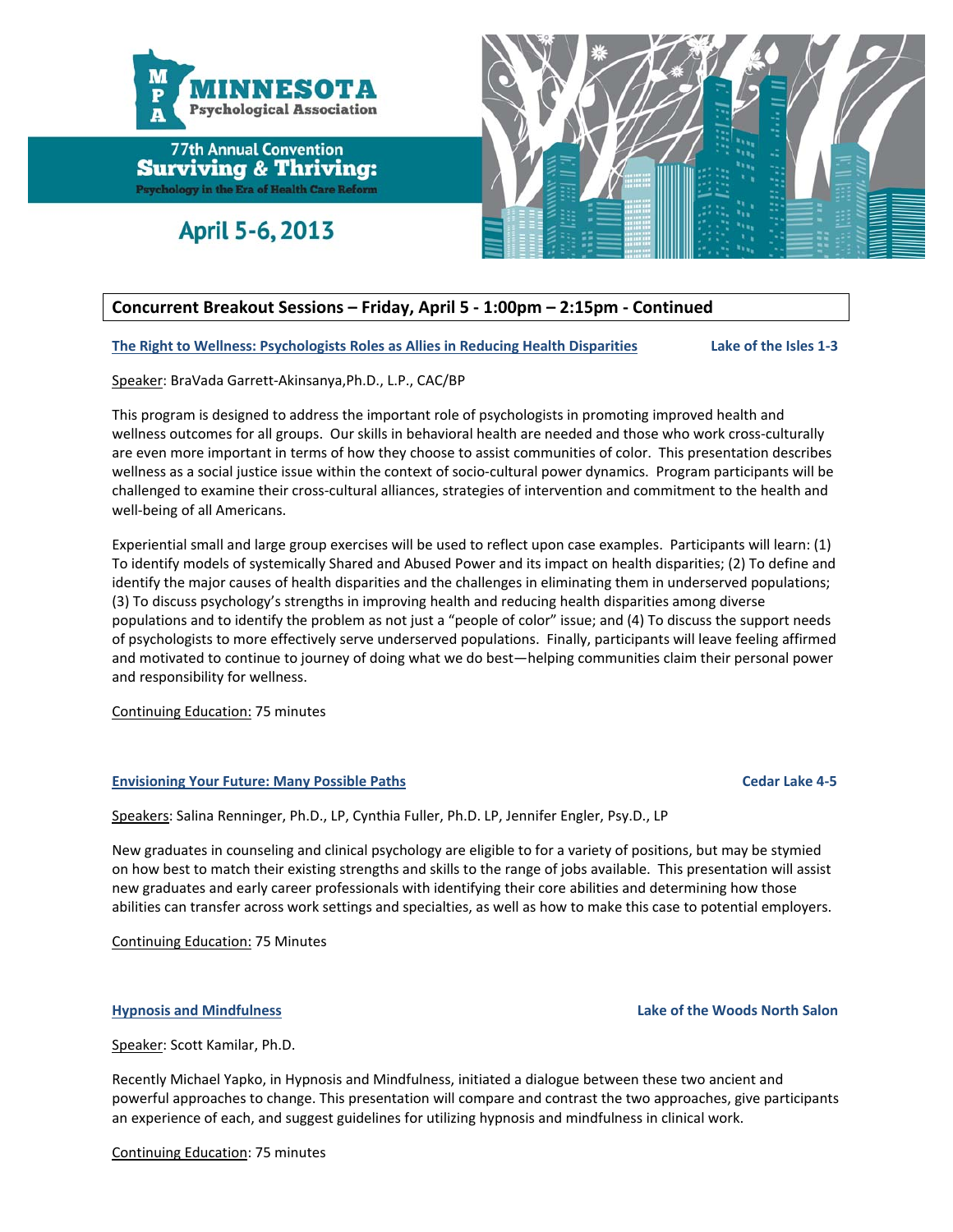

April 5-6, 2013



#### **Concurrent Breakout Sessions – Friday, April 5 ‐ 1:00pm – 2:15pm ‐ Continued**

The Right to Wellness: Psychologists Roles as Allies in Reducing Health Disparities Lake of the Isles 1-3

Speaker: BraVada Garrett‐Akinsanya,Ph.D., L.P., CAC/BP

This program is designed to address the important role of psychologists in promoting improved health and wellness outcomes for all groups. Our skills in behavioral health are needed and those who work cross-culturally are even more important in terms of how they choose to assist communities of color. This presentation describes wellness as a social justice issue within the context of socio-cultural power dynamics. Program participants will be challenged to examine their cross‐cultural alliances, strategies of intervention and commitment to the health and well-being of all Americans.

Experiential small and large group exercises will be used to reflect upon case examples. Participants will learn: (1) To identify models of systemically Shared and Abused Power and its impact on health disparities; (2) To define and identify the major causes of health disparities and the challenges in eliminating them in underserved populations; (3) To discuss psychology's strengths in improving health and reducing health disparities among diverse populations and to identify the problem as not just a "people of color" issue; and (4) To discuss the support needs of psychologists to more effectively serve underserved populations. Finally, participants will leave feeling affirmed and motivated to continue to journey of doing what we do best—helping communities claim their personal power and responsibility for wellness.

Continuing Education: 75 minutes

#### **Envisioning Your Future: Many Possible Paths Cedar Lake 4‐5**

Speakers: Salina Renninger, Ph.D., LP, Cynthia Fuller, Ph.D. LP, Jennifer Engler, Psy.D., LP

New graduates in counseling and clinical psychology are eligible to for a variety of positions, but may be stymied on how best to match their existing strengths and skills to the range of jobs available. This presentation will assist new graduates and early career professionals with identifying their core abilities and determining how those abilities can transfer across work settings and specialties, as well as how to make this case to potential employers.

Continuing Education: 75 Minutes

#### **Hypnosis and Mindfulness Lake of the Woods North Salon**

Speaker: Scott Kamilar, Ph.D.

Recently Michael Yapko, in Hypnosis and Mindfulness, initiated a dialogue between these two ancient and powerful approaches to change. This presentation will compare and contrast the two approaches, give participants an experience of each, and suggest guidelines for utilizing hypnosis and mindfulness in clinical work.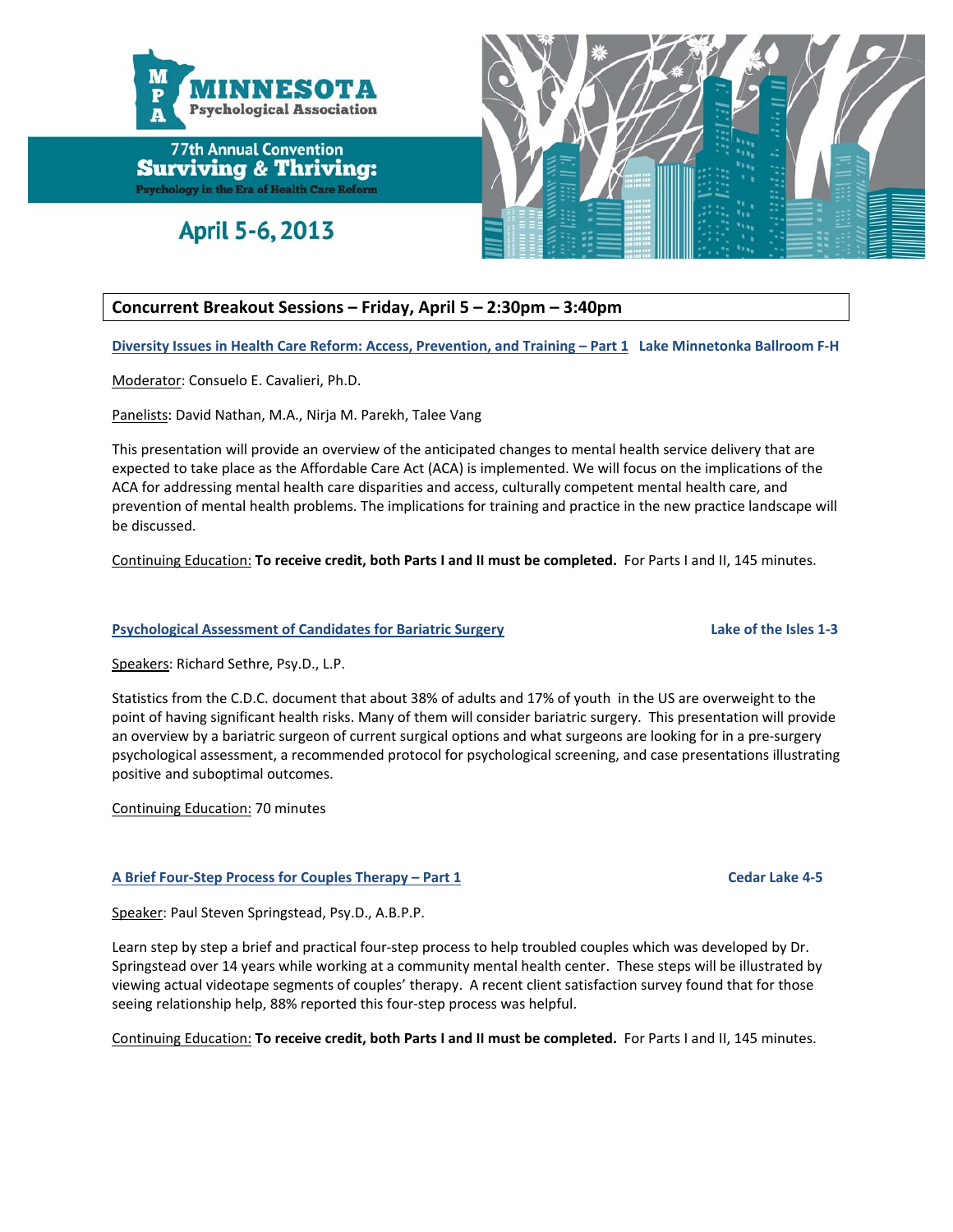

April 5-6, 2013



## **Concurrent Breakout Sessions – Friday, April 5 – 2:30pm – 3:40pm**

Diversity Issues in Health Care Reform: Access, Prevention, and Training - Part 1 Lake Minnetonka Ballroom F-H

Moderator: Consuelo E. Cavalieri, Ph.D.

Panelists: David Nathan, M.A., Nirja M. Parekh, Talee Vang

This presentation will provide an overview of the anticipated changes to mental health service delivery that are expected to take place as the Affordable Care Act (ACA) is implemented. We will focus on the implications of the ACA for addressing mental health care disparities and access, culturally competent mental health care, and prevention of mental health problems. The implications for training and practice in the new practice landscape will be discussed.

Continuing Education: **To receive credit, both Parts I and II must be completed.** For Parts I and II, 145 minutes.

#### **Psychological Assessment of Candidates for Bariatric Surgery Lake of the Isles 1‐3**

Speakers: Richard Sethre, Psy.D., L.P.

Statistics from the C.D.C. document that about 38% of adults and 17% of youth in the US are overweight to the point of having significant health risks. Many of them will consider bariatric surgery. This presentation will provide an overview by a bariatric surgeon of current surgical options and what surgeons are looking for in a pre-surgery psychological assessment, a recommended protocol for psychological screening, and case presentations illustrating positive and suboptimal outcomes.

Continuing Education: 70 minutes

#### **A Brief Four‐Step Process for Couples Therapy – Part 1 Cedar Lake 4‐5**

Speaker: Paul Steven Springstead, Psy.D., A.B.P.P.

Learn step by step a brief and practical four‐step process to help troubled couples which was developed by Dr. Springstead over 14 years while working at a community mental health center. These steps will be illustrated by viewing actual videotape segments of couples' therapy. A recent client satisfaction survey found that for those seeing relationship help, 88% reported this four‐step process was helpful.

Continuing Education: **To receive credit, both Parts I and II must be completed.** For Parts I and II, 145 minutes.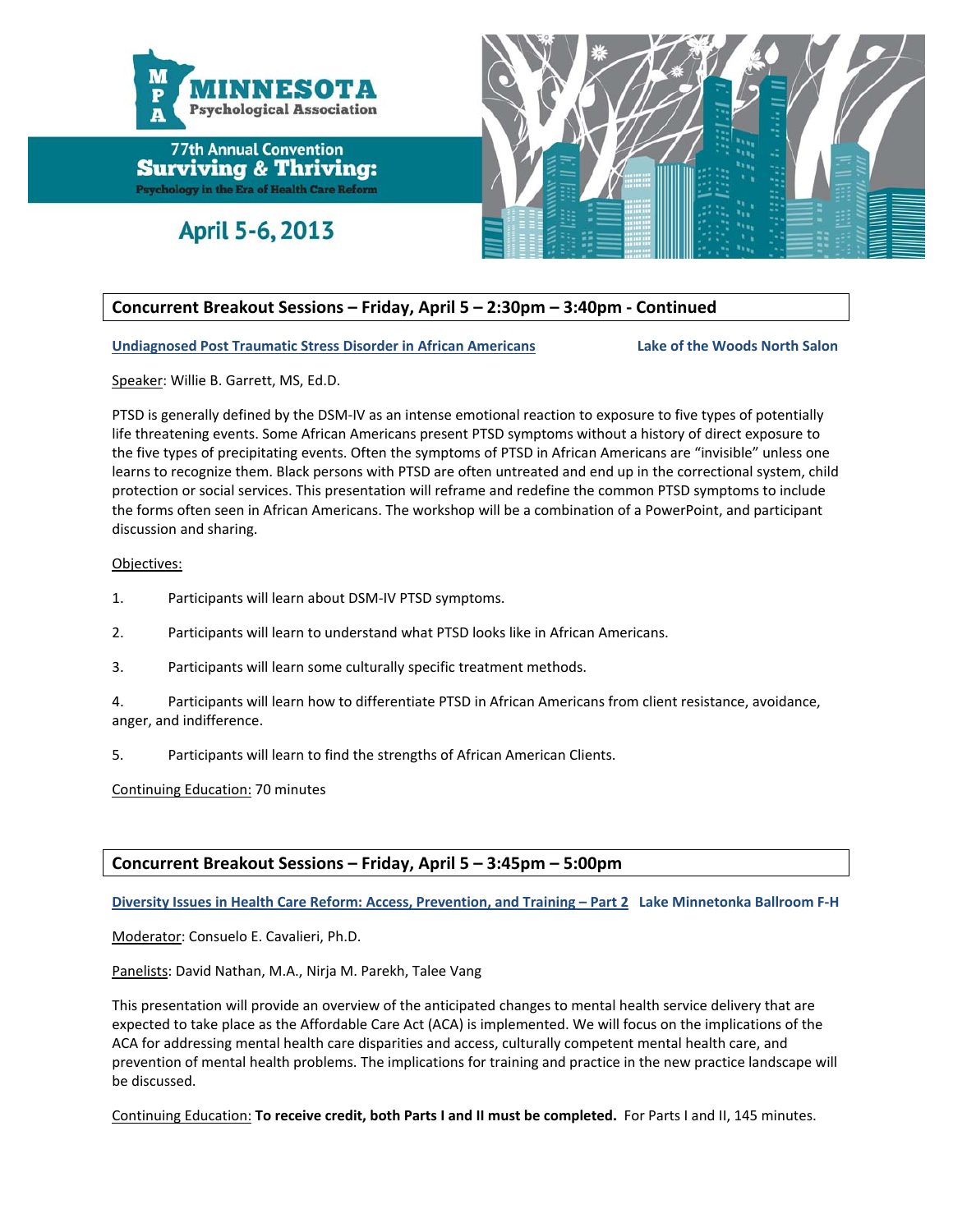

April 5-6, 2013



## **Concurrent Breakout Sessions – Friday, April 5 – 2:30pm – 3:40pm ‐ Continued**

**Undiagnosed Post Traumatic Stress Disorder in African Americans Lake of the Woods North Salon**

Speaker: Willie B. Garrett, MS, Ed.D.

PTSD is generally defined by the DSM-IV as an intense emotional reaction to exposure to five types of potentially life threatening events. Some African Americans present PTSD symptoms without a history of direct exposure to the five types of precipitating events. Often the symptoms of PTSD in African Americans are "invisible" unless one learns to recognize them. Black persons with PTSD are often untreated and end up in the correctional system, child protection or social services. This presentation will reframe and redefine the common PTSD symptoms to include the forms often seen in African Americans. The workshop will be a combination of a PowerPoint, and participant discussion and sharing.

#### Objectives:

- 1. Participants will learn about DSM‐IV PTSD symptoms.
- 2. Participants will learn to understand what PTSD looks like in African Americans.
- 3. Participants will learn some culturally specific treatment methods.

4. Participants will learn how to differentiate PTSD in African Americans from client resistance, avoidance, anger, and indifference.

5. Participants will learn to find the strengths of African American Clients.

Continuing Education: 70 minutes

#### **Concurrent Breakout Sessions – Friday, April 5 – 3:45pm – 5:00pm**

Diversity Issues in Health Care Reform: Access, Prevention, and Training - Part 2 Lake Minnetonka Ballroom F-H

Moderator: Consuelo E. Cavalieri, Ph.D.

Panelists: David Nathan, M.A., Nirja M. Parekh, Talee Vang

This presentation will provide an overview of the anticipated changes to mental health service delivery that are expected to take place as the Affordable Care Act (ACA) is implemented. We will focus on the implications of the ACA for addressing mental health care disparities and access, culturally competent mental health care, and prevention of mental health problems. The implications for training and practice in the new practice landscape will be discussed.

Continuing Education: **To receive credit, both Parts I and II must be completed.** For Parts I and II, 145 minutes.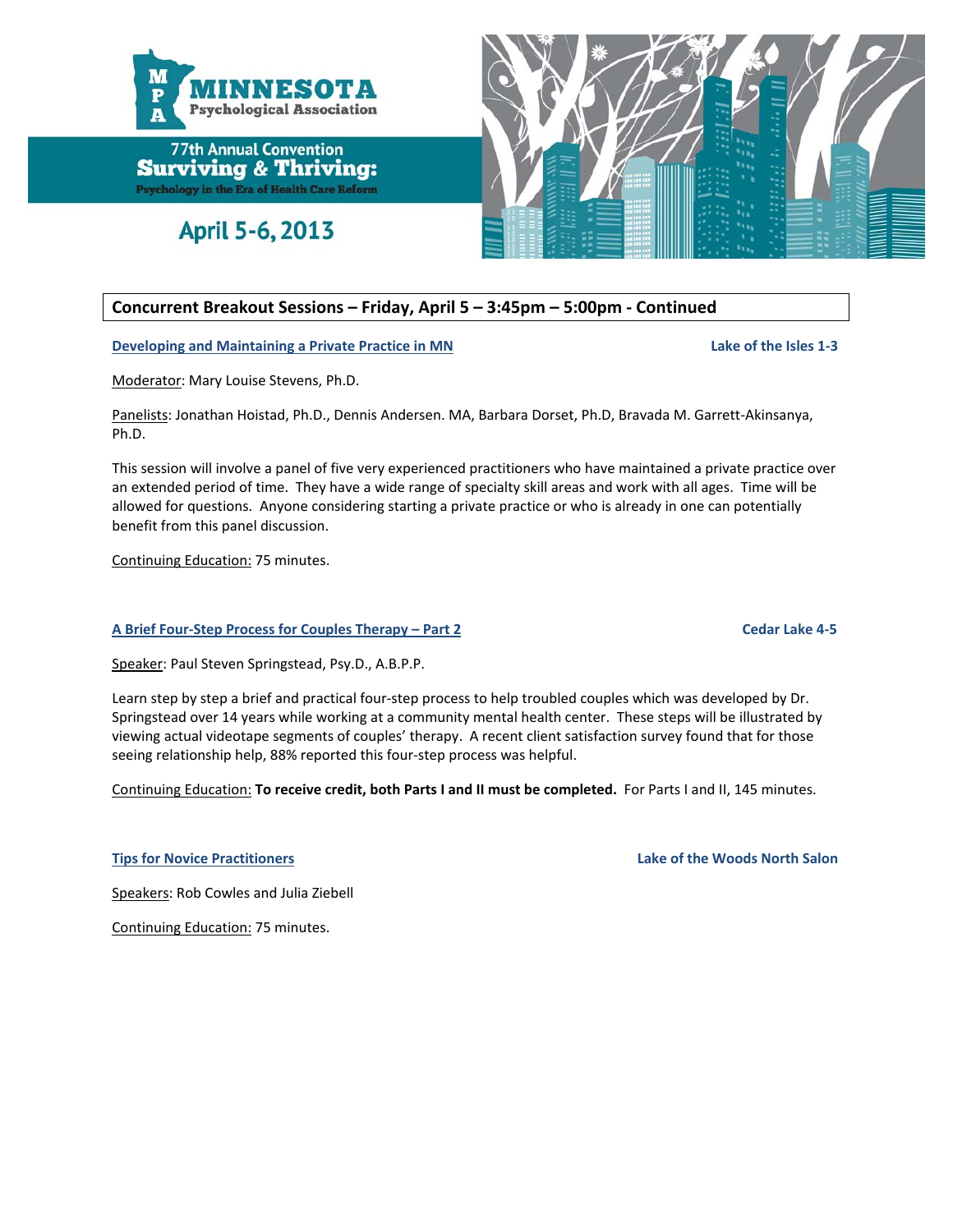

April 5-6, 2013



## **Concurrent Breakout Sessions – Friday, April 5 – 3:45pm – 5:00pm ‐ Continued**

**Developing and Maintaining a Private Practice in MN Lake of the Isles 1‐3**

Moderator: Mary Louise Stevens, Ph.D.

Panelists: Jonathan Hoistad, Ph.D., Dennis Andersen. MA, Barbara Dorset, Ph.D, Bravada M. Garrett‐Akinsanya, Ph.D.

This session will involve a panel of five very experienced practitioners who have maintained a private practice over an extended period of time. They have a wide range of specialty skill areas and work with all ages. Time will be allowed for questions. Anyone considering starting a private practice or who is already in one can potentially benefit from this panel discussion.

Continuing Education: 75 minutes.

#### **A Brief Four‐Step Process for Couples Therapy – Part 2 Cedar Lake 4‐5**

Speaker: Paul Steven Springstead, Psy.D., A.B.P.P.

Learn step by step a brief and practical four‐step process to help troubled couples which was developed by Dr. Springstead over 14 years while working at a community mental health center. These steps will be illustrated by viewing actual videotape segments of couples' therapy. A recent client satisfaction survey found that for those seeing relationship help, 88% reported this four‐step process was helpful.

Continuing Education: **To receive credit, both Parts I and II must be completed.** For Parts I and II, 145 minutes.

**Tips for Novice Practitioners Lake of the Woods North Salon**

Speakers: Rob Cowles and Julia Ziebell

Continuing Education: 75 minutes.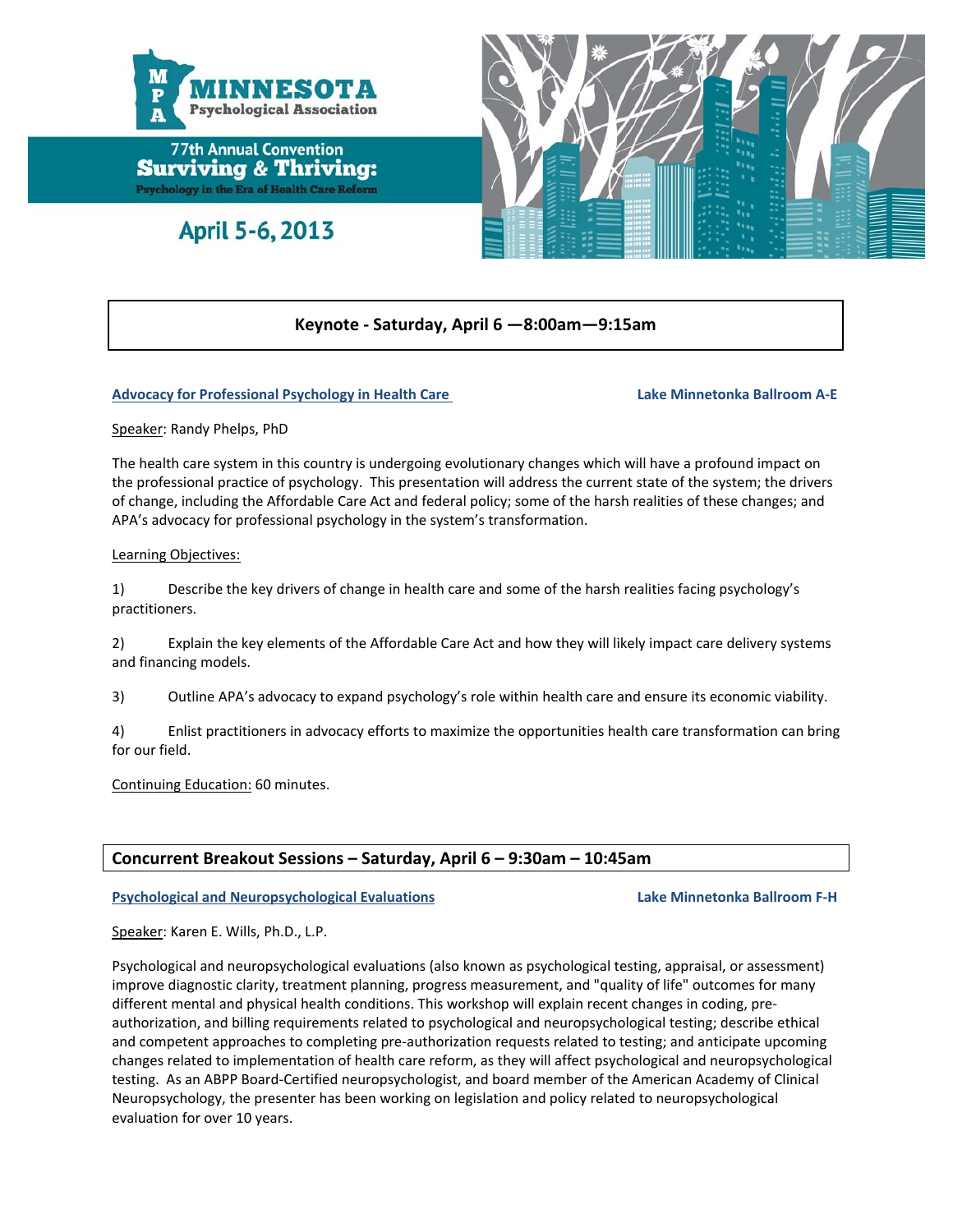

April 5-6, 2013



#### **Keynote ‐ Saturday, April 6 —8:00am—9:15am**

#### **Advocacy for Professional Psychology in Health Care Lake Minnetonka Ballroom A‐E**

Speaker: Randy Phelps, PhD

The health care system in this country is undergoing evolutionary changes which will have a profound impact on the professional practice of psychology. This presentation will address the current state of the system; the drivers of change, including the Affordable Care Act and federal policy; some of the harsh realities of these changes; and APA's advocacy for professional psychology in the system's transformation.

#### Learning Objectives:

1) Describe the key drivers of change in health care and some of the harsh realities facing psychology's practitioners.

2) Explain the key elements of the Affordable Care Act and how they will likely impact care delivery systems and financing models.

3) Outline APA's advocacy to expand psychology's role within health care and ensure its economic viability.

4) Enlist practitioners in advocacy efforts to maximize the opportunities health care transformation can bring for our field.

Continuing Education: 60 minutes.

#### **Concurrent Breakout Sessions – Saturday, April 6 – 9:30am – 10:45am**

#### **Psychological and Neuropsychological Evaluations Lake Minnetonka Ballroom F‐H**

Speaker: Karen E. Wills, Ph.D., L.P.

Psychological and neuropsychological evaluations (also known as psychological testing, appraisal, or assessment) improve diagnostic clarity, treatment planning, progress measurement, and "quality of life" outcomes for many different mental and physical health conditions. This workshop will explain recent changes in coding, pre‐ authorization, and billing requirements related to psychological and neuropsychological testing; describe ethical and competent approaches to completing pre‐authorization requests related to testing; and anticipate upcoming changes related to implementation of health care reform, as they will affect psychological and neuropsychological testing. As an ABPP Board‐Certified neuropsychologist, and board member of the American Academy of Clinical Neuropsychology, the presenter has been working on legislation and policy related to neuropsychological evaluation for over 10 years.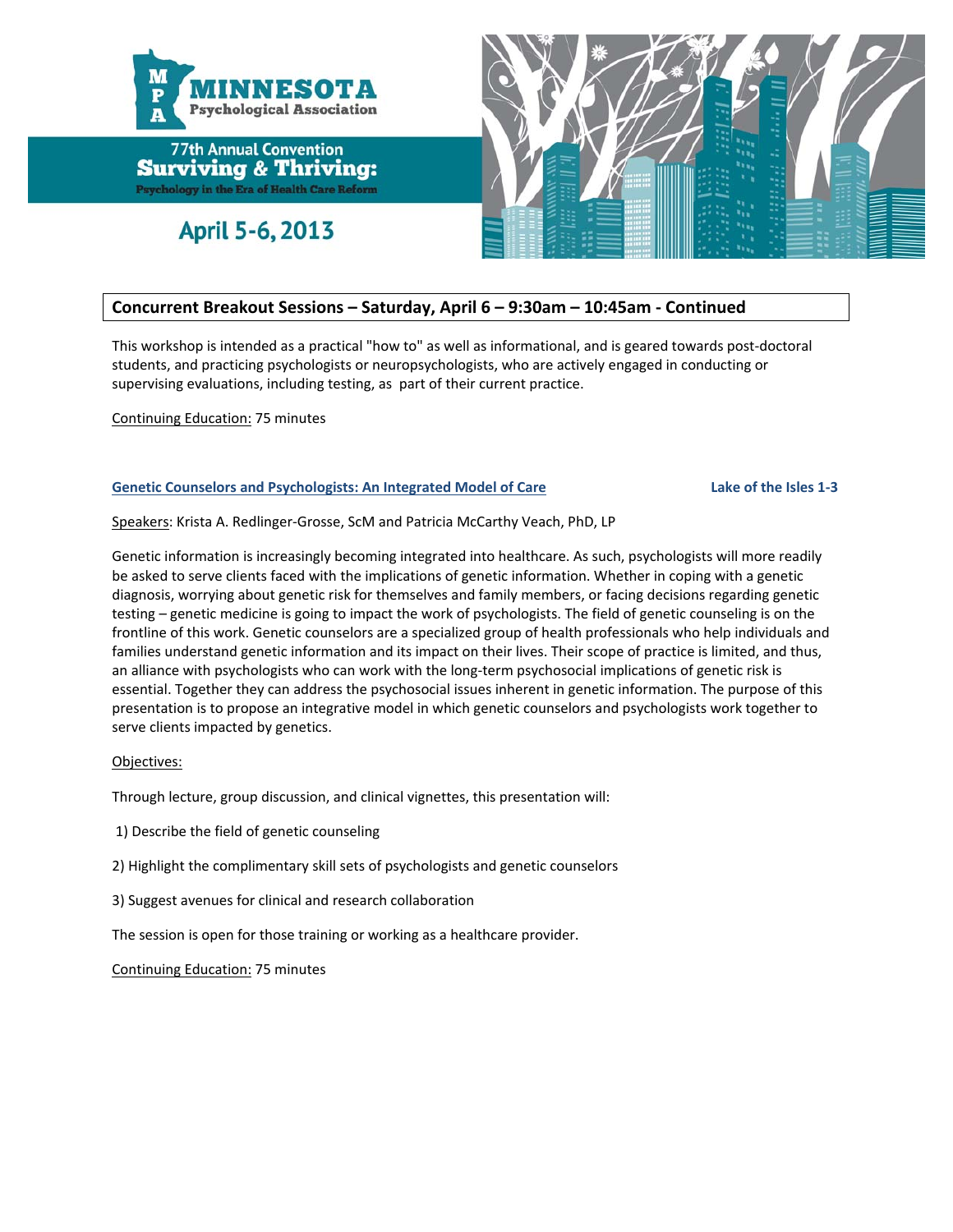

April 5-6, 2013



#### **Concurrent Breakout Sessions – Saturday, April 6 – 9:30am – 10:45am ‐ Continued**

This workshop is intended as a practical "how to" as well as informational, and is geared towards post‐doctoral students, and practicing psychologists or neuropsychologists, who are actively engaged in conducting or supervising evaluations, including testing, as part of their current practice.

Continuing Education: 75 minutes

#### Genetic Counselors and Psychologists: An Integrated Model of Care and Lake of the Isles 1-3

Speakers: Krista A. Redlinger‐Grosse, ScM and Patricia McCarthy Veach, PhD, LP

Genetic information is increasingly becoming integrated into healthcare. As such, psychologists will more readily be asked to serve clients faced with the implications of genetic information. Whether in coping with a genetic diagnosis, worrying about genetic risk for themselves and family members, or facing decisions regarding genetic testing – genetic medicine is going to impact the work of psychologists. The field of genetic counseling is on the frontline of this work. Genetic counselors are a specialized group of health professionals who help individuals and families understand genetic information and its impact on their lives. Their scope of practice is limited, and thus, an alliance with psychologists who can work with the long-term psychosocial implications of genetic risk is essential. Together they can address the psychosocial issues inherent in genetic information. The purpose of this presentation is to propose an integrative model in which genetic counselors and psychologists work together to serve clients impacted by genetics.

#### Objectives:

Through lecture, group discussion, and clinical vignettes, this presentation will:

- 1) Describe the field of genetic counseling
- 2) Highlight the complimentary skill sets of psychologists and genetic counselors
- 3) Suggest avenues for clinical and research collaboration

The session is open for those training or working as a healthcare provider.

Continuing Education: 75 minutes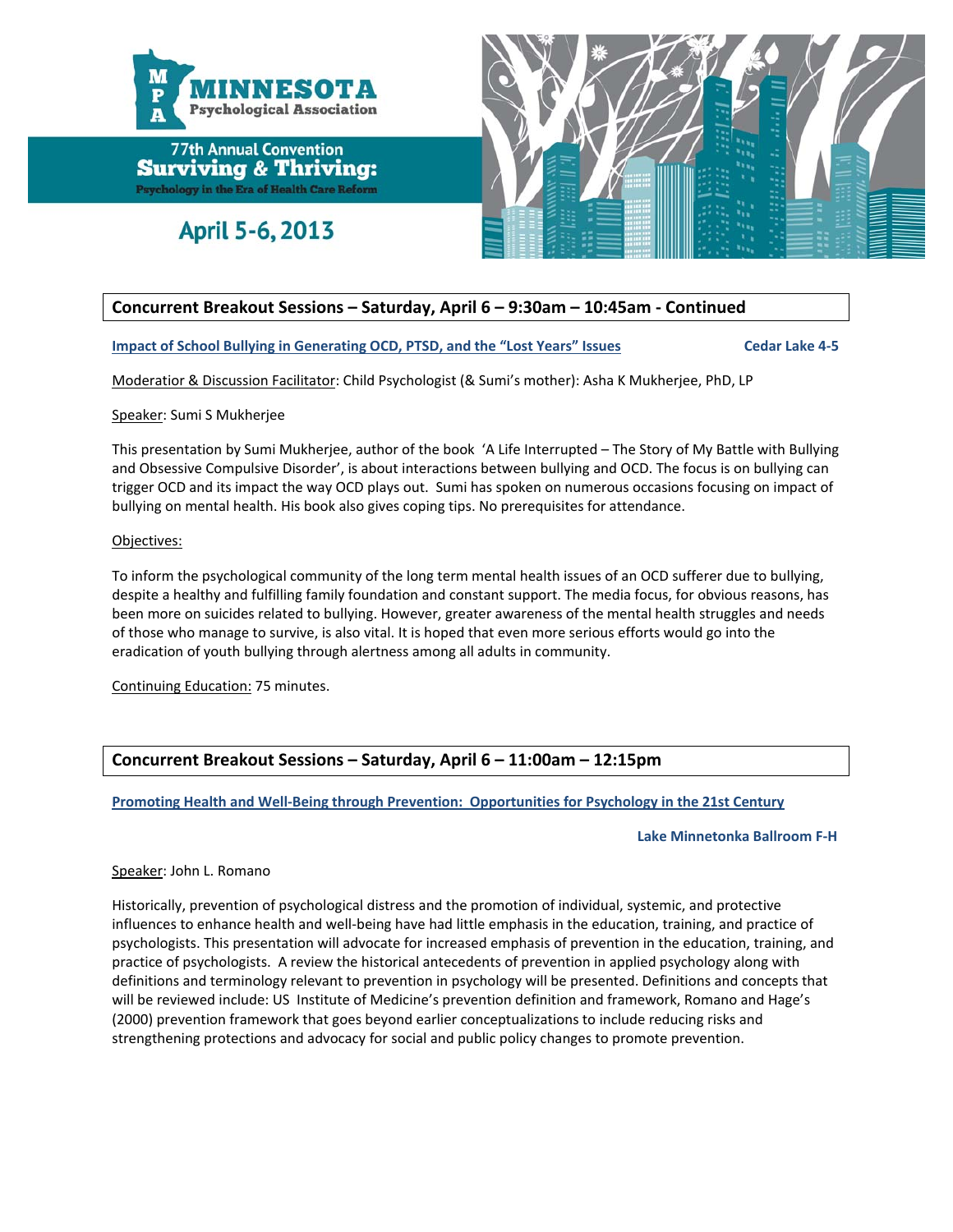

April 5-6, 2013



### **Concurrent Breakout Sessions – Saturday, April 6 – 9:30am – 10:45am ‐ Continued**

Impact of School Bullying in Generating OCD, PTSD, and the "Lost Years" Issues Cedar Lake 4-5

Moderatior & Discussion Facilitator: Child Psychologist (& Sumi's mother): Asha K Mukherjee, PhD, LP

#### Speaker: Sumi S Mukherjee

This presentation by Sumi Mukherjee, author of the book 'A Life Interrupted – The Story of My Battle with Bullying and Obsessive Compulsive Disorder', is about interactions between bullying and OCD. The focus is on bullying can trigger OCD and its impact the way OCD plays out. Sumi has spoken on numerous occasions focusing on impact of bullying on mental health. His book also gives coping tips. No prerequisites for attendance.

#### Objectives:

To inform the psychological community of the long term mental health issues of an OCD sufferer due to bullying, despite a healthy and fulfilling family foundation and constant support. The media focus, for obvious reasons, has been more on suicides related to bullying. However, greater awareness of the mental health struggles and needs of those who manage to survive, is also vital. It is hoped that even more serious efforts would go into the eradication of youth bullying through alertness among all adults in community.

Continuing Education: 75 minutes.

#### **Concurrent Breakout Sessions – Saturday, April 6 – 11:00am – 12:15pm**

**Promoting Health and Well‐Being through Prevention: Opportunities for Psychology in the 21st Century**

#### **Lake Minnetonka Ballroom F‐H**

#### Speaker: John L. Romano

Historically, prevention of psychological distress and the promotion of individual, systemic, and protective influences to enhance health and well-being have had little emphasis in the education, training, and practice of psychologists. This presentation will advocate for increased emphasis of prevention in the education, training, and practice of psychologists. A review the historical antecedents of prevention in applied psychology along with definitions and terminology relevant to prevention in psychology will be presented. Definitions and concepts that will be reviewed include: US Institute of Medicine's prevention definition and framework, Romano and Hage's (2000) prevention framework that goes beyond earlier conceptualizations to include reducing risks and strengthening protections and advocacy for social and public policy changes to promote prevention.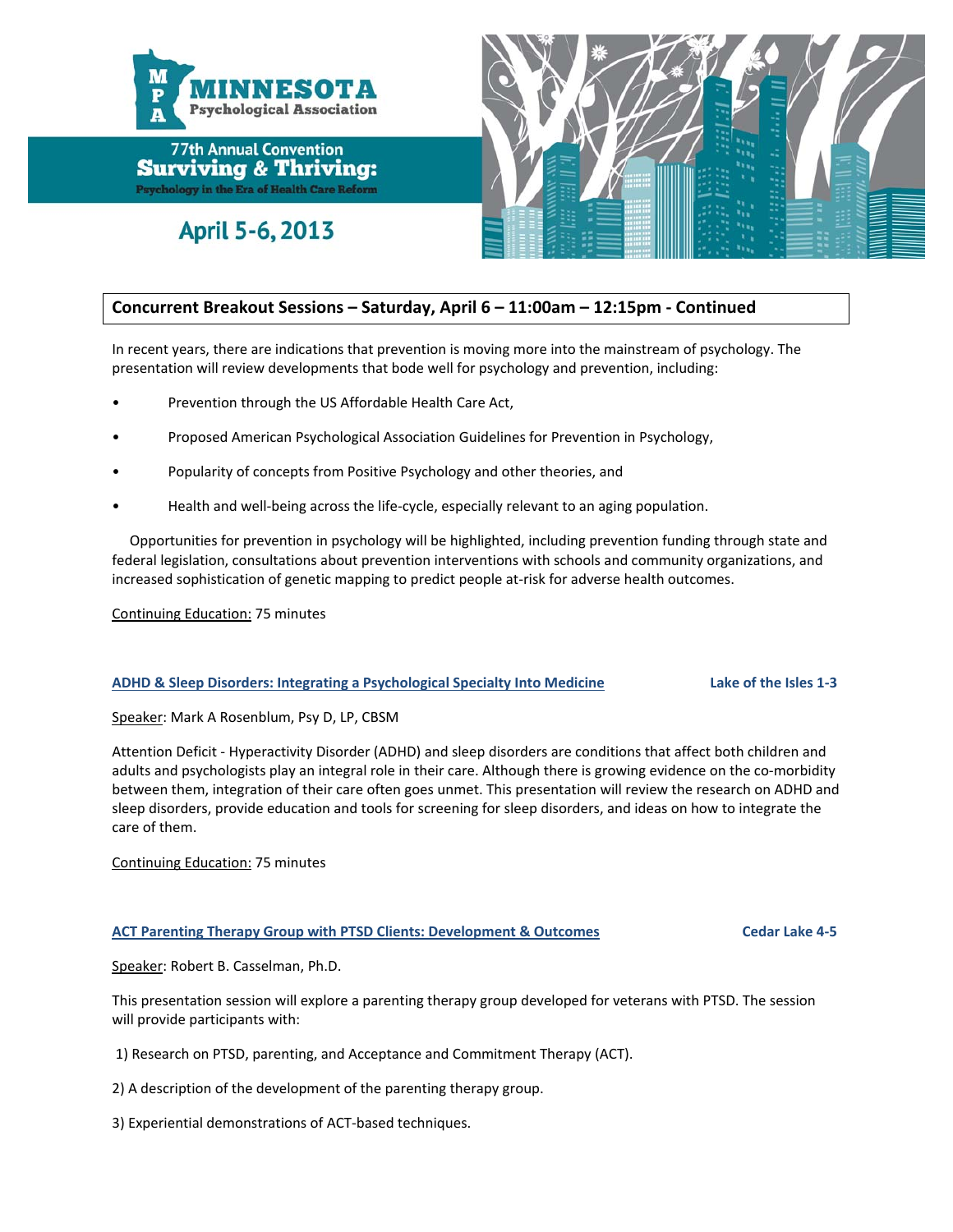

April 5-6, 2013



### **Concurrent Breakout Sessions – Saturday, April 6 – 11:00am – 12:15pm ‐ Continued**

In recent years, there are indications that prevention is moving more into the mainstream of psychology. The presentation will review developments that bode well for psychology and prevention, including:

- Prevention through the US Affordable Health Care Act,
- Proposed American Psychological Association Guidelines for Prevention in Psychology,
- Popularity of concepts from Positive Psychology and other theories, and
- Health and well‐being across the life‐cycle, especially relevant to an aging population.

 Opportunities for prevention in psychology will be highlighted, including prevention funding through state and federal legislation, consultations about prevention interventions with schools and community organizations, and increased sophistication of genetic mapping to predict people at-risk for adverse health outcomes.

Continuing Education: 75 minutes

#### ADHD & Sleep Disorders: Integrating a Psychological Specialty Into Medicine Lake of the Isles 1-3

Speaker: Mark A Rosenblum, Psy D, LP, CBSM

Attention Deficit ‐ Hyperactivity Disorder (ADHD) and sleep disorders are conditions that affect both children and adults and psychologists play an integral role in their care. Although there is growing evidence on the co-morbidity between them, integration of their care often goes unmet. This presentation will review the research on ADHD and sleep disorders, provide education and tools for screening for sleep disorders, and ideas on how to integrate the care of them.

Continuing Education: 75 minutes

#### **ACT Parenting Therapy Group with PTSD Clients: Development & Outcomes Cedar Lake 4‐5**

Speaker: Robert B. Casselman, Ph.D.

This presentation session will explore a parenting therapy group developed for veterans with PTSD. The session will provide participants with:

1) Research on PTSD, parenting, and Acceptance and Commitment Therapy (ACT).

2) A description of the development of the parenting therapy group.

3) Experiential demonstrations of ACT‐based techniques.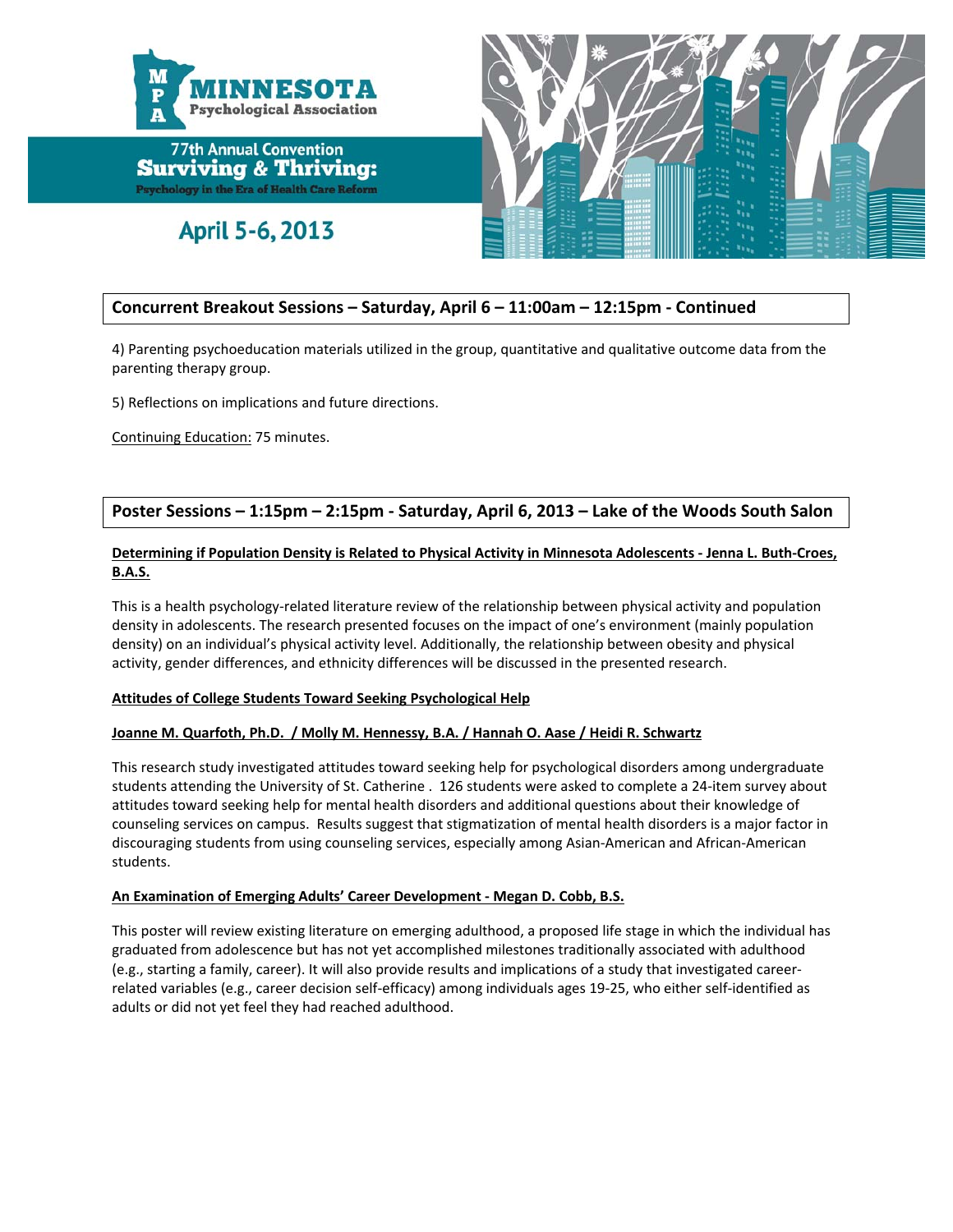

April 5-6, 2013



#### **Concurrent Breakout Sessions – Saturday, April 6 – 11:00am – 12:15pm ‐ Continued**

4) Parenting psychoeducation materials utilized in the group, quantitative and qualitative outcome data from the parenting therapy group.

5) Reflections on implications and future directions.

Continuing Education: 75 minutes.

#### **Poster Sessions – 1:15pm – 2:15pm ‐ Saturday, April 6, 2013 – Lake of the Woods South Salon**

#### Determining if Population Density is Related to Physical Activity in Minnesota Adolescents - Jenna L. Buth-Croes, **B.A.S.**

This is a health psychology‐related literature review of the relationship between physical activity and population density in adolescents. The research presented focuses on the impact of one's environment (mainly population density) on an individual's physical activity level. Additionally, the relationship between obesity and physical activity, gender differences, and ethnicity differences will be discussed in the presented research.

#### **Attitudes of College Students Toward Seeking Psychological Help**

#### Joanne M. Quarfoth, Ph.D. / Molly M. Hennessy, B.A. / Hannah O. Aase / Heidi R. Schwartz

This research study investigated attitudes toward seeking help for psychological disorders among undergraduate students attending the University of St. Catherine . 126 students were asked to complete a 24‐item survey about attitudes toward seeking help for mental health disorders and additional questions about their knowledge of counseling services on campus. Results suggest that stigmatization of mental health disorders is a major factor in discouraging students from using counseling services, especially among Asian‐American and African‐American students.

#### **An Examination of Emerging Adults' Career Development ‐ Megan D. Cobb, B.S.**

This poster will review existing literature on emerging adulthood, a proposed life stage in which the individual has graduated from adolescence but has not yet accomplished milestones traditionally associated with adulthood (e.g., starting a family, career). It will also provide results and implications of a study that investigated career‐ related variables (e.g., career decision self‐efficacy) among individuals ages 19‐25, who either self‐identified as adults or did not yet feel they had reached adulthood.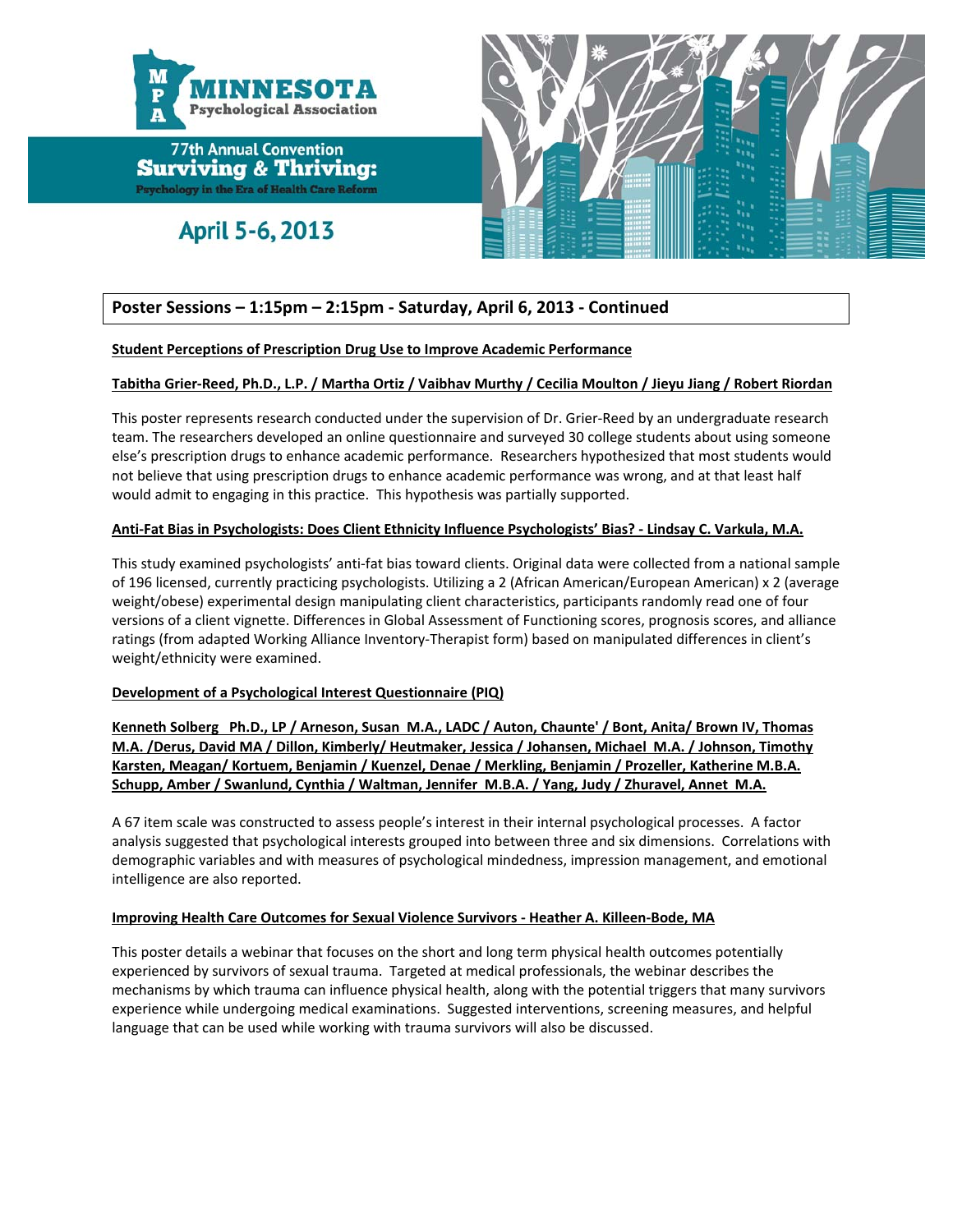![](_page_17_Picture_0.jpeg)

April 5-6, 2013

![](_page_17_Picture_3.jpeg)

## **Poster Sessions – 1:15pm – 2:15pm ‐ Saturday, April 6, 2013 ‐ Continued**

#### **Student Perceptions of Prescription Drug Use to Improve Academic Performance**

#### Tabitha Grier-Reed, Ph.D., L.P. / Martha Ortiz / Vaibhav Murthy / Cecilia Moulton / Jieyu Jiang / Robert Riordan

This poster represents research conducted under the supervision of Dr. Grier‐Reed by an undergraduate research team. The researchers developed an online questionnaire and surveyed 30 college students about using someone else's prescription drugs to enhance academic performance. Researchers hypothesized that most students would not believe that using prescription drugs to enhance academic performance was wrong, and at that least half would admit to engaging in this practice. This hypothesis was partially supported.

#### Anti-Fat Bias in Psychologists: Does Client Ethnicity Influence Psychologists' Bias? - Lindsay C. Varkula, M.A.

This study examined psychologists' anti‐fat bias toward clients. Original data were collected from a national sample of 196 licensed, currently practicing psychologists. Utilizing a 2 (African American/European American) x 2 (average weight/obese) experimental design manipulating client characteristics, participants randomly read one of four versions of a client vignette. Differences in Global Assessment of Functioning scores, prognosis scores, and alliance ratings (from adapted Working Alliance Inventory‐Therapist form) based on manipulated differences in client's weight/ethnicity were examined.

#### **Development of a Psychological Interest Questionnaire (PIQ)**

Kenneth Solberg Ph.D., LP / Arneson, Susan M.A., LADC / Auton, Chaunte' / Bont, Anita/ Brown IV, Thomas **M.A. /Derus, David MA / Dillon, Kimberly/ Heutmaker, Jessica / Johansen, Michael M.A. / Johnson, Timothy Karsten, Meagan/ Kortuem, Benjamin / Kuenzel, Denae / Merkling, Benjamin / Prozeller, Katherine M.B.A. Schupp, Amber / Swanlund, Cynthia / Waltman, Jennifer M.B.A. / Yang, Judy / Zhuravel, Annet M.A.**

A 67 item scale was constructed to assess people's interest in their internal psychological processes. A factor analysis suggested that psychological interests grouped into between three and six dimensions. Correlations with demographic variables and with measures of psychological mindedness, impression management, and emotional intelligence are also reported.

#### **Improving Health Care Outcomes for Sexual Violence Survivors ‐ Heather A. Killeen‐Bode, MA**

This poster details a webinar that focuses on the short and long term physical health outcomes potentially experienced by survivors of sexual trauma. Targeted at medical professionals, the webinar describes the mechanisms by which trauma can influence physical health, along with the potential triggers that many survivors experience while undergoing medical examinations. Suggested interventions, screening measures, and helpful language that can be used while working with trauma survivors will also be discussed.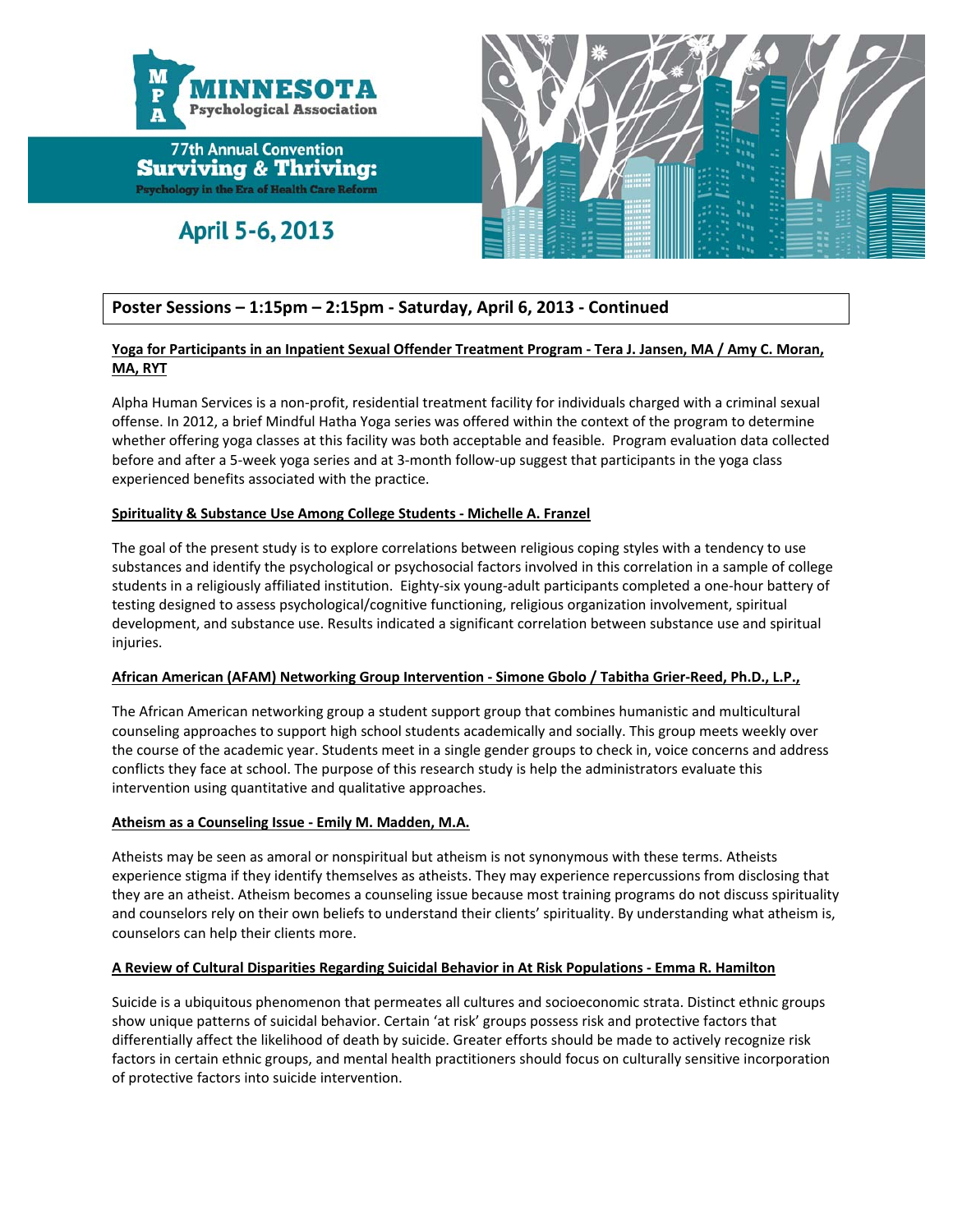![](_page_18_Picture_0.jpeg)

## April 5-6, 2013

![](_page_18_Picture_3.jpeg)

### **Poster Sessions – 1:15pm – 2:15pm ‐ Saturday, April 6, 2013 ‐ Continued**

#### Yoga for Participants in an Inpatient Sexual Offender Treatment Program - Tera J. Jansen, MA / Amy C. Moran, **MA, RYT**

Alpha Human Services is a non‐profit, residential treatment facility for individuals charged with a criminal sexual offense. In 2012, a brief Mindful Hatha Yoga series was offered within the context of the program to determine whether offering yoga classes at this facility was both acceptable and feasible. Program evaluation data collected before and after a 5-week yoga series and at 3-month follow-up suggest that participants in the yoga class experienced benefits associated with the practice.

#### **Spirituality & Substance Use Among College Students ‐ Michelle A. Franzel**

The goal of the present study is to explore correlations between religious coping styles with a tendency to use substances and identify the psychological or psychosocial factors involved in this correlation in a sample of college students in a religiously affiliated institution. Eighty‐six young‐adult participants completed a one‐hour battery of testing designed to assess psychological/cognitive functioning, religious organization involvement, spiritual development, and substance use. Results indicated a significant correlation between substance use and spiritual injuries.

#### **African American (AFAM) Networking Group Intervention ‐ Simone Gbolo / Tabitha Grier‐Reed, Ph.D., L.P.,**

The African American networking group a student support group that combines humanistic and multicultural counseling approaches to support high school students academically and socially. This group meets weekly over the course of the academic year. Students meet in a single gender groups to check in, voice concerns and address conflicts they face at school. The purpose of this research study is help the administrators evaluate this intervention using quantitative and qualitative approaches.

#### **Atheism as a Counseling Issue ‐ Emily M. Madden, M.A.**

Atheists may be seen as amoral or nonspiritual but atheism is not synonymous with these terms. Atheists experience stigma if they identify themselves as atheists. They may experience repercussions from disclosing that they are an atheist. Atheism becomes a counseling issue because most training programs do not discuss spirituality and counselors rely on their own beliefs to understand their clients' spirituality. By understanding what atheism is, counselors can help their clients more.

#### **A Review of Cultural Disparities Regarding Suicidal Behavior in At Risk Populations ‐ Emma R. Hamilton**

Suicide is a ubiquitous phenomenon that permeates all cultures and socioeconomic strata. Distinct ethnic groups show unique patterns of suicidal behavior. Certain 'at risk' groups possess risk and protective factors that differentially affect the likelihood of death by suicide. Greater efforts should be made to actively recognize risk factors in certain ethnic groups, and mental health practitioners should focus on culturally sensitive incorporation of protective factors into suicide intervention.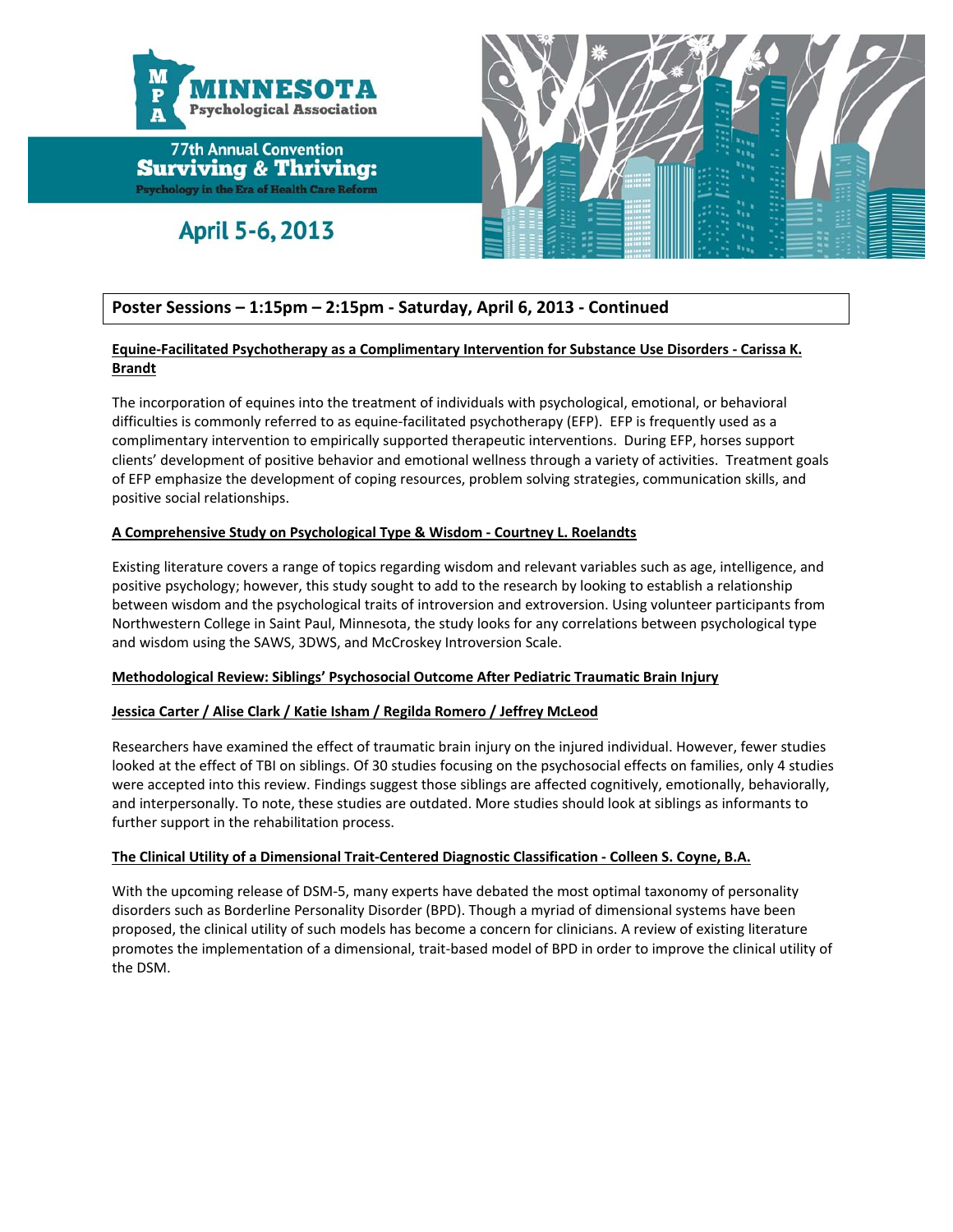![](_page_19_Picture_0.jpeg)

## April 5-6, 2013

![](_page_19_Picture_3.jpeg)

### **Poster Sessions – 1:15pm – 2:15pm ‐ Saturday, April 6, 2013 ‐ Continued**

#### **Equine‐Facilitated Psychotherapy as a Complimentary Intervention for Substance Use Disorders ‐ Carissa K. Brandt**

The incorporation of equines into the treatment of individuals with psychological, emotional, or behavioral difficulties is commonly referred to as equine‐facilitated psychotherapy (EFP). EFP is frequently used as a complimentary intervention to empirically supported therapeutic interventions. During EFP, horses support clients' development of positive behavior and emotional wellness through a variety of activities. Treatment goals of EFP emphasize the development of coping resources, problem solving strategies, communication skills, and positive social relationships.

#### **A Comprehensive Study on Psychological Type & Wisdom ‐ Courtney L. Roelandts**

Existing literature covers a range of topics regarding wisdom and relevant variables such as age, intelligence, and positive psychology; however, this study sought to add to the research by looking to establish a relationship between wisdom and the psychological traits of introversion and extroversion. Using volunteer participants from Northwestern College in Saint Paul, Minnesota, the study looks for any correlations between psychological type and wisdom using the SAWS, 3DWS, and McCroskey Introversion Scale.

#### **Methodological Review: Siblings' Psychosocial Outcome After Pediatric Traumatic Brain Injury**

#### **Jessica Carter / Alise Clark / Katie Isham / Regilda Romero / Jeffrey McLeod**

Researchers have examined the effect of traumatic brain injury on the injured individual. However, fewer studies looked at the effect of TBI on siblings. Of 30 studies focusing on the psychosocial effects on families, only 4 studies were accepted into this review. Findings suggest those siblings are affected cognitively, emotionally, behaviorally, and interpersonally. To note, these studies are outdated. More studies should look at siblings as informants to further support in the rehabilitation process.

#### **The Clinical Utility of a Dimensional Trait‐Centered Diagnostic Classification ‐ Colleen S. Coyne, B.A.**

With the upcoming release of DSM‐5, many experts have debated the most optimal taxonomy of personality disorders such as Borderline Personality Disorder (BPD). Though a myriad of dimensional systems have been proposed, the clinical utility of such models has become a concern for clinicians. A review of existing literature promotes the implementation of a dimensional, trait‐based model of BPD in order to improve the clinical utility of the DSM.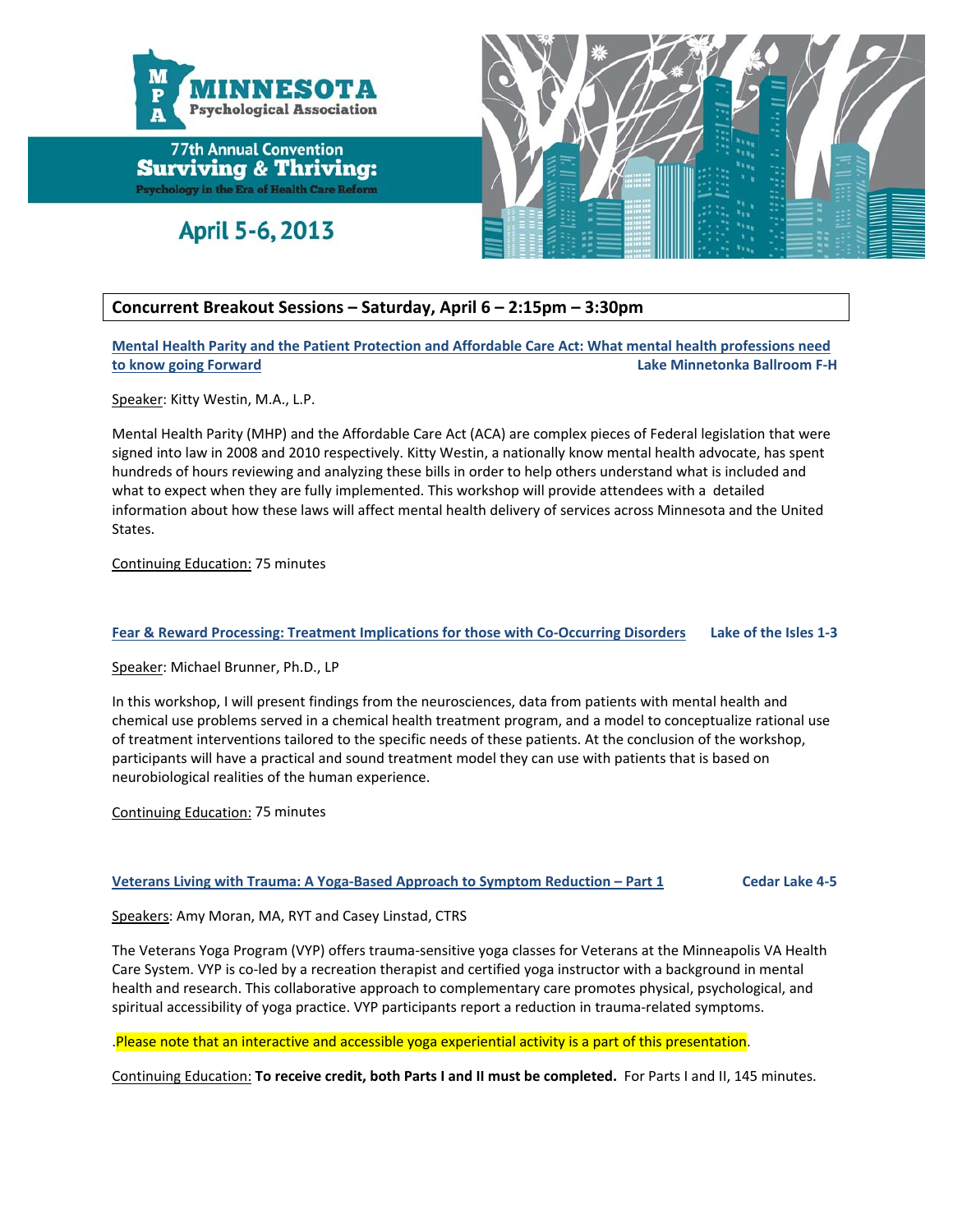![](_page_20_Picture_0.jpeg)

April 5-6, 2013

![](_page_20_Picture_3.jpeg)

#### **Concurrent Breakout Sessions – Saturday, April 6 – 2:15pm – 3:30pm**

**Mental Health Parity and the Patient Protection and Affordable Care Act: What mental health professions need to know going Forward Lake Minnetonka Ballroom F‐H**

Speaker: Kitty Westin, M.A., L.P.

Mental Health Parity (MHP) and the Affordable Care Act (ACA) are complex pieces of Federal legislation that were signed into law in 2008 and 2010 respectively. Kitty Westin, a nationally know mental health advocate, has spent hundreds of hours reviewing and analyzing these bills in order to help others understand what is included and what to expect when they are fully implemented. This workshop will provide attendees with a detailed information about how these laws will affect mental health delivery of services across Minnesota and the United States.

Continuing Education: 75 minutes

#### Fear & Reward Processing: Treatment Implications for those with Co-Occurring Disorders Lake of the Isles 1-3

Speaker: Michael Brunner, Ph.D., LP

In this workshop, I will present findings from the neurosciences, data from patients with mental health and chemical use problems served in a chemical health treatment program, and a model to conceptualize rational use of treatment interventions tailored to the specific needs of these patients. At the conclusion of the workshop, participants will have a practical and sound treatment model they can use with patients that is based on neurobiological realities of the human experience.

Continuing Education: 75 minutes

#### Veterans Living with Trauma: A Yoga-Based Approach to Symptom Reduction - Part 1 Cedar Lake 4-5

Speakers: Amy Moran, MA, RYT and Casey Linstad, CTRS

The Veterans Yoga Program (VYP) offers trauma‐sensitive yoga classes for Veterans at the Minneapolis VA Health Care System. VYP is co‐led by a recreation therapist and certified yoga instructor with a background in mental health and research. This collaborative approach to complementary care promotes physical, psychological, and spiritual accessibility of yoga practice. VYP participants report a reduction in trauma-related symptoms.

.Please note that an interactive and accessible yoga experiential activity is a part of this presentation.

Continuing Education: **To receive credit, both Parts I and II must be completed.** For Parts I and II, 145 minutes.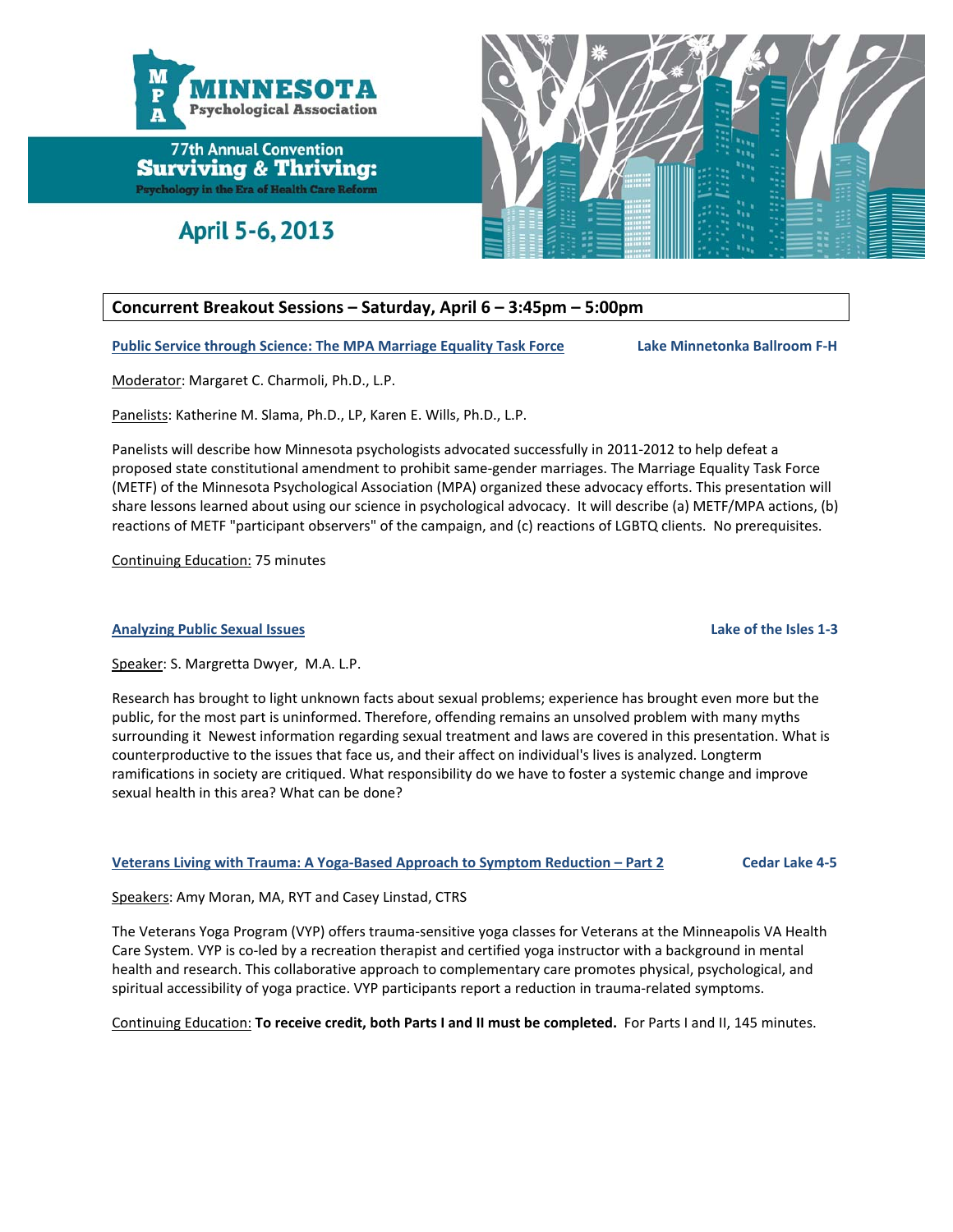![](_page_21_Picture_0.jpeg)

April 5-6, 2013

![](_page_21_Picture_3.jpeg)

#### **Concurrent Breakout Sessions – Saturday, April 6 – 3:45pm – 5:00pm**

**Public Service through Science: The MPA Marriage Equality Task Force Lake Minnetonka Ballroom F‐H**

Moderator: Margaret C. Charmoli, Ph.D., L.P.

Panelists: Katherine M. Slama, Ph.D., LP, Karen E. Wills, Ph.D., L.P.

Panelists will describe how Minnesota psychologists advocated successfully in 2011‐2012 to help defeat a proposed state constitutional amendment to prohibit same‐gender marriages. The Marriage Equality Task Force (METF) of the Minnesota Psychological Association (MPA) organized these advocacy efforts. This presentation will share lessons learned about using our science in psychological advocacy. It will describe (a) METF/MPA actions, (b) reactions of METF "participant observers" of the campaign, and (c) reactions of LGBTQ clients. No prerequisites.

Continuing Education: 75 minutes

#### **Analyzing Public Sexual Issues Lake of the Isles 1‐3**

Speaker: S. Margretta Dwyer, M.A. L.P.

Research has brought to light unknown facts about sexual problems; experience has brought even more but the public, for the most part is uninformed. Therefore, offending remains an unsolved problem with many myths surrounding it Newest information regarding sexual treatment and laws are covered in this presentation. What is counterproductive to the issues that face us, and their affect on individual's lives is analyzed. Longterm ramifications in society are critiqued. What responsibility do we have to foster a systemic change and improve sexual health in this area? What can be done?

#### Veterans Living with Trauma: A Yoga-Based Approach to Symptom Reduction - Part 2 Cedar Lake 4-5

Speakers: Amy Moran, MA, RYT and Casey Linstad, CTRS

The Veterans Yoga Program (VYP) offers trauma‐sensitive yoga classes for Veterans at the Minneapolis VA Health Care System. VYP is co‐led by a recreation therapist and certified yoga instructor with a background in mental health and research. This collaborative approach to complementary care promotes physical, psychological, and spiritual accessibility of yoga practice. VYP participants report a reduction in trauma-related symptoms.

Continuing Education: **To receive credit, both Parts I and II must be completed.** For Parts I and II, 145 minutes.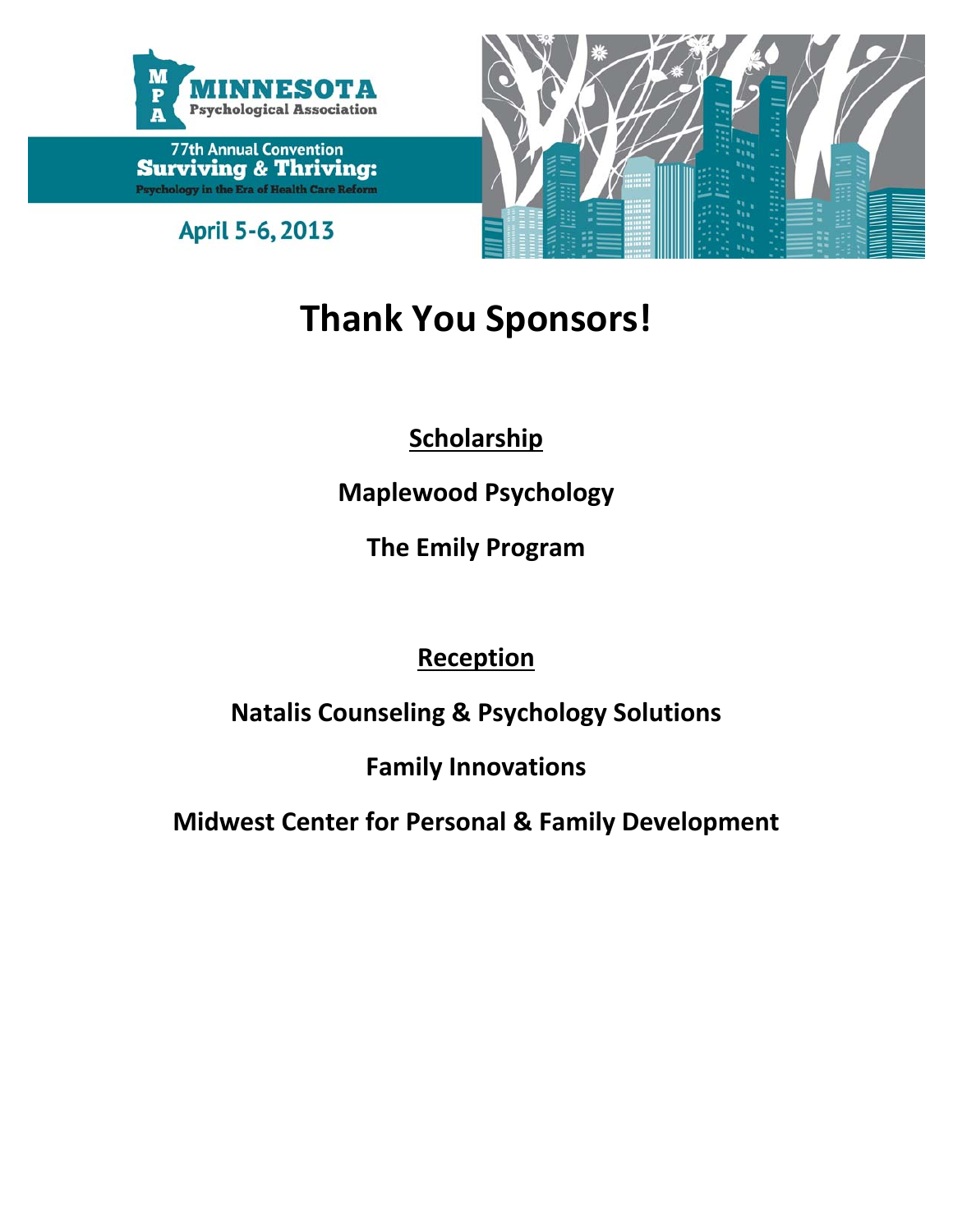![](_page_22_Picture_0.jpeg)

April 5-6, 2013

![](_page_22_Picture_3.jpeg)

# **Thank You Sponsors!**

**Scholarship**

**Maplewood Psychology**

**The Emily Program**

**Reception**

**Natalis Counseling & Psychology Solutions**

**Family Innovations**

**Midwest Center for Personal & Family Development**